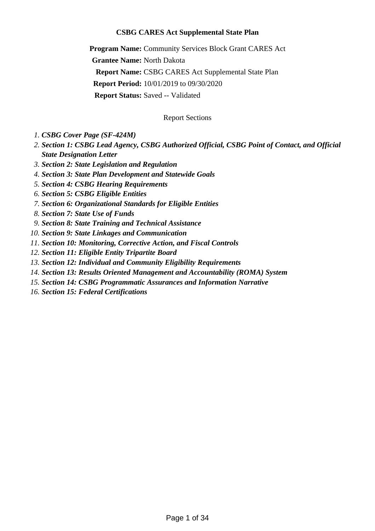## **CSBG CARES Act Supplemental State Plan**

**Program Name:** Community Services Block Grant CARES Act **Grantee Name:** North Dakota **Report Name:** CSBG CARES Act Supplemental State Plan **Report Period:** 10/01/2019 to 09/30/2020 **Report Status:** Saved -- Validated

## Report Sections

- *1. [CSBG Cover Page \(SF-424M\)](#page-1-0)*
- *[Section 1: CSBG Lead Agency, CSBG Authorized Official, CSBG Point of Contact, and Official](#page-3-0) 2. [State Designation Letter](#page-3-0)*
- *3. [Section 2: State Legislation and Regulation](#page-5-0)*
- *4. [Section 3: State Plan Development and Statewide Goals](#page-6-0)*
- *5. [Section 4: CSBG Hearing Requirements](#page-7-0)*
- *6. [Section 5: CSBG Eligible Entities](#page-8-0)*
- *7. [Section 6: Organizational Standards for Eligible Entities](#page-10-0)*
- *8. [Section 7: State Use of Funds](#page-11-0)*
- *9. [Section 8: State Training and Technical Assistance](#page-13-0)*
- *10. [Section 9: State Linkages and Communication](#page-14-0)*
- *11. [Section 10: Monitoring, Corrective Action, and Fiscal Controls](#page-16-0)*
- *12. [Section 11: Eligible Entity Tripartite Board](#page-18-0)*
- *13. [Section 12: Individual and Community Eligibility Requirements](#page-19-0)*
- *14. [Section 13: Results Oriented Management and Accountability \(ROMA\) System](#page-20-0)*
- *15. [Section 14: CSBG Programmatic Assurances and Information Narrative](#page-21-0)*
- *16. [Section 15: Federal Certifications](#page-26-0)*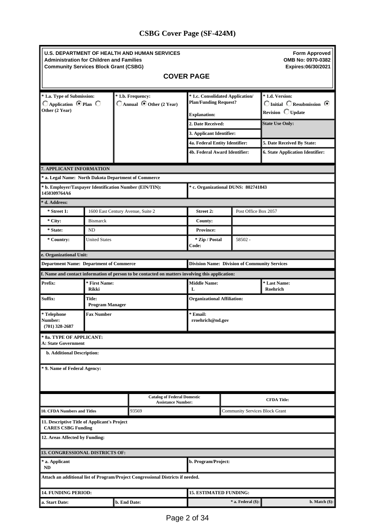# <span id="page-1-0"></span>**CSBG Cover Page (SF-424M)**

| <b>U.S. DEPARTMENT OF HEALTH AND HUMAN SERVICES</b><br><b>Form Approved</b><br>OMB No: 0970-0382<br><b>Administration for Children and Families</b><br>Expires:06/30/2021<br><b>Community Services Block Grant (CSBG)</b><br><b>COVER PAGE</b> |                                         |                                                          |                                                                                                  |                                                                                                              |  |                      |                                                                                                                       |  |
|------------------------------------------------------------------------------------------------------------------------------------------------------------------------------------------------------------------------------------------------|-----------------------------------------|----------------------------------------------------------|--------------------------------------------------------------------------------------------------|--------------------------------------------------------------------------------------------------------------|--|----------------------|-----------------------------------------------------------------------------------------------------------------------|--|
| * 1.a. Type of Submission:<br>$\Box$ Application $\Theta$ Plan $\Box$<br>Other (2 Year)                                                                                                                                                        |                                         | * 1.b. Frequency:<br>$\Box$ Annual $\Box$ Other (2 Year) |                                                                                                  | * 1.c. Consolidated Application/<br><b>Plan/Funding Request?</b><br><b>Explanation:</b><br>2. Date Received: |  |                      | * 1.d. Version:<br>$\bigcirc$ Initial $\bigcirc$ Resubmission $\bigcirc$<br>Revision Update<br><b>State Use Only:</b> |  |
|                                                                                                                                                                                                                                                |                                         |                                                          |                                                                                                  | 3. Applicant Identifier:<br>4a. Federal Entity Identifier:<br>4b. Federal Award Identifier:                  |  |                      | 5. Date Received By State:<br><b>6. State Application Identifier:</b>                                                 |  |
| 7. APPLICANT INFORMATION<br>* a. Legal Name: North Dakota Department of Commerce                                                                                                                                                               |                                         |                                                          |                                                                                                  |                                                                                                              |  |                      |                                                                                                                       |  |
| * b. Employer/Taxpayer Identification Number (EIN/TIN):<br>1450309764A6                                                                                                                                                                        |                                         |                                                          |                                                                                                  | * c. Organizational DUNS: 802741843                                                                          |  |                      |                                                                                                                       |  |
| * d. Address:                                                                                                                                                                                                                                  |                                         |                                                          |                                                                                                  |                                                                                                              |  |                      |                                                                                                                       |  |
| * Street 1:                                                                                                                                                                                                                                    |                                         |                                                          | 1600 East Century Avenue, Suite 2                                                                | <b>Street 2:</b>                                                                                             |  | Post Office Box 2057 |                                                                                                                       |  |
| $*$ City:                                                                                                                                                                                                                                      | <b>Bismarck</b>                         |                                                          |                                                                                                  | County:                                                                                                      |  |                      |                                                                                                                       |  |
| * State:                                                                                                                                                                                                                                       | <b>ND</b>                               |                                                          |                                                                                                  | <b>Province:</b>                                                                                             |  |                      |                                                                                                                       |  |
| * Country:                                                                                                                                                                                                                                     | <b>United States</b>                    |                                                          |                                                                                                  | * Zip / Postal<br>Code:                                                                                      |  | 58502 -              |                                                                                                                       |  |
| e. Organizational Unit:                                                                                                                                                                                                                        |                                         |                                                          |                                                                                                  |                                                                                                              |  |                      |                                                                                                                       |  |
| <b>Department Name: Department of Commerce</b>                                                                                                                                                                                                 |                                         |                                                          |                                                                                                  | <b>Division Name: Division of Community Services</b>                                                         |  |                      |                                                                                                                       |  |
|                                                                                                                                                                                                                                                |                                         |                                                          | f. Name and contact information of person to be contacted on matters involving this application: |                                                                                                              |  |                      |                                                                                                                       |  |
| Prefix:                                                                                                                                                                                                                                        | * First Name:<br><b>Rikki</b>           |                                                          |                                                                                                  | <b>Middle Name:</b><br>L                                                                                     |  |                      | * Last Name:<br>Roehrich                                                                                              |  |
| Suffix:                                                                                                                                                                                                                                        | <b>Title:</b><br><b>Program Manager</b> |                                                          |                                                                                                  | <b>Organizational Affiliation:</b>                                                                           |  |                      |                                                                                                                       |  |
| * Telephone<br><b>Number:</b><br>$(701)$ 328-2687                                                                                                                                                                                              | <b>Fax Number</b>                       |                                                          |                                                                                                  | * Email:<br>rroehrich@nd.gov                                                                                 |  |                      |                                                                                                                       |  |
| * 8a. TYPE OF APPLICANT:<br><b>A: State Government</b>                                                                                                                                                                                         |                                         |                                                          |                                                                                                  |                                                                                                              |  |                      |                                                                                                                       |  |
| b. Additional Description:                                                                                                                                                                                                                     |                                         |                                                          |                                                                                                  |                                                                                                              |  |                      |                                                                                                                       |  |
| * 9. Name of Federal Agency:                                                                                                                                                                                                                   |                                         |                                                          |                                                                                                  |                                                                                                              |  |                      |                                                                                                                       |  |
|                                                                                                                                                                                                                                                |                                         |                                                          | <b>Catalog of Federal Domestic</b><br><b>Assistance Number:</b>                                  | <b>CFDA Title:</b>                                                                                           |  |                      |                                                                                                                       |  |
| <b>10. CFDA Numbers and Titles</b>                                                                                                                                                                                                             |                                         |                                                          | 93569                                                                                            | <b>Community Services Block Grant</b>                                                                        |  |                      |                                                                                                                       |  |
| 11. Descriptive Title of Applicant's Project<br><b>CARES CSBG Funding</b>                                                                                                                                                                      |                                         |                                                          |                                                                                                  |                                                                                                              |  |                      |                                                                                                                       |  |
| 12. Areas Affected by Funding:                                                                                                                                                                                                                 |                                         |                                                          |                                                                                                  |                                                                                                              |  |                      |                                                                                                                       |  |
| 13. CONGRESSIONAL DISTRICTS OF:                                                                                                                                                                                                                |                                         |                                                          |                                                                                                  |                                                                                                              |  |                      |                                                                                                                       |  |
| * a. Applicant<br>ND                                                                                                                                                                                                                           | b. Program/Project:                     |                                                          |                                                                                                  |                                                                                                              |  |                      |                                                                                                                       |  |
|                                                                                                                                                                                                                                                |                                         |                                                          | Attach an additional list of Program/Project Congressional Districts if needed.                  |                                                                                                              |  |                      |                                                                                                                       |  |
| <b>14. FUNDING PERIOD:</b>                                                                                                                                                                                                                     |                                         |                                                          |                                                                                                  | <b>15. ESTIMATED FUNDING:</b>                                                                                |  |                      |                                                                                                                       |  |
| * a. Federal (\$):<br>b. End Date:<br>a. Start Date:                                                                                                                                                                                           |                                         |                                                          |                                                                                                  | $\mathbf b$ . Match $(\$)$ :                                                                                 |  |                      |                                                                                                                       |  |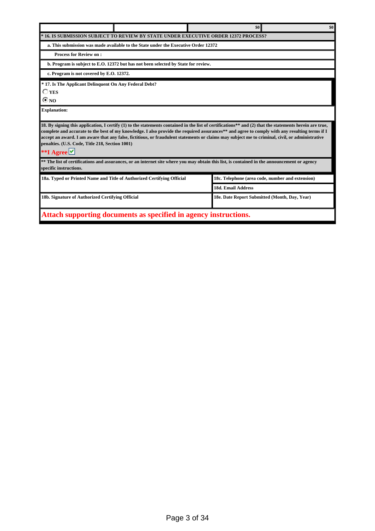|                                                                                                                                                                                                                                                                                                                                                                                                                                                                                                                                    | \$0<br>\$0                                       |  |  |  |  |  |
|------------------------------------------------------------------------------------------------------------------------------------------------------------------------------------------------------------------------------------------------------------------------------------------------------------------------------------------------------------------------------------------------------------------------------------------------------------------------------------------------------------------------------------|--------------------------------------------------|--|--|--|--|--|
| <b>IVE ORDER 12372 PROCESS?</b><br>* 16. IS SUBMISSION SUBJECT<br>' TO REVIEW BY STATE UNDER EXECUT                                                                                                                                                                                                                                                                                                                                                                                                                                |                                                  |  |  |  |  |  |
| a. This submission was made available to the State under the Executive Order 12372                                                                                                                                                                                                                                                                                                                                                                                                                                                 |                                                  |  |  |  |  |  |
| <b>Process for Review on:</b>                                                                                                                                                                                                                                                                                                                                                                                                                                                                                                      |                                                  |  |  |  |  |  |
| b. Program is subject to E.O. 12372 but has not been selected by State for review.                                                                                                                                                                                                                                                                                                                                                                                                                                                 |                                                  |  |  |  |  |  |
| c. Program is not covered by E.O. 12372.                                                                                                                                                                                                                                                                                                                                                                                                                                                                                           |                                                  |  |  |  |  |  |
| * 17. Is The Applicant Delinquent On Any Federal Debt?<br>$\Box$ yes<br>® no                                                                                                                                                                                                                                                                                                                                                                                                                                                       |                                                  |  |  |  |  |  |
| <b>Explanation:</b>                                                                                                                                                                                                                                                                                                                                                                                                                                                                                                                |                                                  |  |  |  |  |  |
| 18. By signing this application, I certify (1) to the statements contained in the list of certifications** and (2) that the statements herein are true,<br>complete and accurate to the best of my knowledge. I also provide the required assurances** and agree to comply with any resulting terms if I<br>accept an award. I am aware that any false, fictitious, or fraudulent statements or claims may subject me to criminal, civil, or administrative<br>penalties. (U.S. Code, Title 218, Section 1001)<br>**I Agree $\vee$ |                                                  |  |  |  |  |  |
| ** The list of certifications and assurances, or an internet site where you may obtain this list, is contained in the announcement or agency<br>specific instructions.                                                                                                                                                                                                                                                                                                                                                             |                                                  |  |  |  |  |  |
| 18a. Typed or Printed Name and Title of Authorized Certifying Official                                                                                                                                                                                                                                                                                                                                                                                                                                                             | 18c. Telephone (area code, number and extension) |  |  |  |  |  |
|                                                                                                                                                                                                                                                                                                                                                                                                                                                                                                                                    | <b>18d. Email Address</b>                        |  |  |  |  |  |
| 18b. Signature of Authorized Certifying Official<br>18e. Date Report Submitted (Month, Day, Year)                                                                                                                                                                                                                                                                                                                                                                                                                                  |                                                  |  |  |  |  |  |
| Attach supporting documents as specified in agency instructions.                                                                                                                                                                                                                                                                                                                                                                                                                                                                   |                                                  |  |  |  |  |  |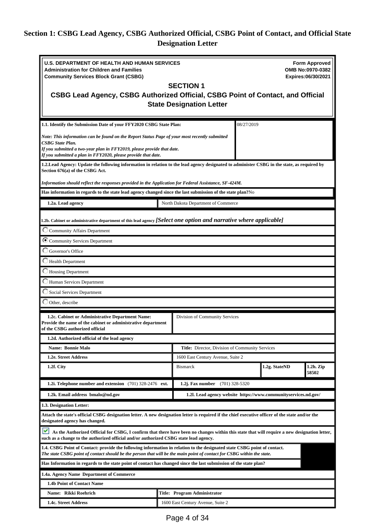## <span id="page-3-0"></span>**Section 1: CSBG Lead Agency, CSBG Authorized Official, CSBG Point of Contact, and Official State Designation Letter**

| <b>U.S. DEPARTMENT OF HEALTH AND HUMAN SERVICES</b><br><b>Administration for Children and Families</b><br><b>Community Services Block Grant (CSBG)</b>                                                                                                              |                                                                                                                                             |                                                                 |            |               | <b>Form Approved</b><br>OMB No:0970-0382<br>Expires:06/30/2021 |  |
|---------------------------------------------------------------------------------------------------------------------------------------------------------------------------------------------------------------------------------------------------------------------|---------------------------------------------------------------------------------------------------------------------------------------------|-----------------------------------------------------------------|------------|---------------|----------------------------------------------------------------|--|
|                                                                                                                                                                                                                                                                     |                                                                                                                                             | <b>SECTION 1</b>                                                |            |               |                                                                |  |
| CSBG Lead Agency, CSBG Authorized Official, CSBG Point of Contact, and Official                                                                                                                                                                                     |                                                                                                                                             |                                                                 |            |               |                                                                |  |
|                                                                                                                                                                                                                                                                     |                                                                                                                                             | <b>State Designation Letter</b>                                 |            |               |                                                                |  |
| 1.1. Identify the Submission Date of your FFY2020 CSBG State Plan:                                                                                                                                                                                                  |                                                                                                                                             |                                                                 | 08/27/2019 |               |                                                                |  |
| Note: This information can be found on the Report Status Page of your most recently submitted<br><b>CSBG State Plan.</b><br>If you submitted a two-year plan in FFY2019, please provide that date.<br>If you submitted a plan in FFY2020, please provide that date. |                                                                                                                                             |                                                                 |            |               |                                                                |  |
| Section 676(a) of the CSBG Act.                                                                                                                                                                                                                                     | 1.2.Lead Agency: Update the following information in relation to the lead agency designated to administer CSBG in the state, as required by |                                                                 |            |               |                                                                |  |
| Information should reflect the responses provided in the Application for Federal Assistance, SF-424M.                                                                                                                                                               |                                                                                                                                             |                                                                 |            |               |                                                                |  |
| Has information in regards to the state lead agency changed since the last submission of the state plan? No                                                                                                                                                         |                                                                                                                                             |                                                                 |            |               |                                                                |  |
| 1.2a. Lead agency                                                                                                                                                                                                                                                   |                                                                                                                                             | North Dakota Department of Commerce                             |            |               |                                                                |  |
| 1.2b. Cabinet or administrative department of this lead agency <i>[Select one option and narrative where applicable]</i>                                                                                                                                            |                                                                                                                                             |                                                                 |            |               |                                                                |  |
| C Community Affairs Department                                                                                                                                                                                                                                      |                                                                                                                                             |                                                                 |            |               |                                                                |  |
| C Community Services Department                                                                                                                                                                                                                                     |                                                                                                                                             |                                                                 |            |               |                                                                |  |
| Governor's Office                                                                                                                                                                                                                                                   |                                                                                                                                             |                                                                 |            |               |                                                                |  |
| Health Department                                                                                                                                                                                                                                                   |                                                                                                                                             |                                                                 |            |               |                                                                |  |
| Housing Department                                                                                                                                                                                                                                                  |                                                                                                                                             |                                                                 |            |               |                                                                |  |
| Human Services Department                                                                                                                                                                                                                                           |                                                                                                                                             |                                                                 |            |               |                                                                |  |
| Social Services Department                                                                                                                                                                                                                                          |                                                                                                                                             |                                                                 |            |               |                                                                |  |
| Other, describe                                                                                                                                                                                                                                                     |                                                                                                                                             |                                                                 |            |               |                                                                |  |
| 1.2c. Cabinet or Administrative Department Name:<br>Provide the name of the cabinet or administrative department<br>of the CSBG authorized official                                                                                                                 |                                                                                                                                             | Division of Community Services                                  |            |               |                                                                |  |
| 1.2d. Authorized official of the lead agency                                                                                                                                                                                                                        |                                                                                                                                             |                                                                 |            |               |                                                                |  |
| Name: Bonnie Malo                                                                                                                                                                                                                                                   |                                                                                                                                             | <b>Title:</b> Director, Division of Community Services          |            |               |                                                                |  |
| 1.2e. Street Address                                                                                                                                                                                                                                                |                                                                                                                                             | 1600 East Century Avenue, Suite 2                               |            |               |                                                                |  |
| 1.2f. City                                                                                                                                                                                                                                                          |                                                                                                                                             | <b>Bismarck</b>                                                 |            | 1.2g. StateND | $1.2h.$ Zip<br>58502                                           |  |
| <b>1.2i. Telephone number and extension</b> (701) 328-2476 ext.                                                                                                                                                                                                     |                                                                                                                                             | 1.2j. Fax number (701) 328-5320                                 |            |               |                                                                |  |
| 1.2k. Email address bmalo@nd.gov                                                                                                                                                                                                                                    |                                                                                                                                             | 1.21. Lead agency website https://www.communityservices.nd.gov/ |            |               |                                                                |  |
| 1.3. Designation Letter:                                                                                                                                                                                                                                            |                                                                                                                                             |                                                                 |            |               |                                                                |  |
| Attach the state's official CSBG designation letter. A new designation letter is required if the chief executive officer of the state and/or the<br>designated agency has changed.                                                                                  |                                                                                                                                             |                                                                 |            |               |                                                                |  |
| M<br>As the Authorized Official for CSBG, I confirm that there have been no changes within this state that will require a new designation letter,<br>such as a change to the authorized official and/or authorized CSBG state lead agency.                          |                                                                                                                                             |                                                                 |            |               |                                                                |  |
| 1.4. CSBG Point of Contact: provide the following information in relation to the designated state CSBG point of contact.<br>The state CSBG point of contact should be the person that will be the main point of contact for CSBG within the state.                  |                                                                                                                                             |                                                                 |            |               |                                                                |  |
| Has Information in regards to the state point of contact has changed since the last submission of the state plan?                                                                                                                                                   |                                                                                                                                             |                                                                 |            |               |                                                                |  |
| 1.4a. Agency Name Department of Commerce                                                                                                                                                                                                                            |                                                                                                                                             |                                                                 |            |               |                                                                |  |
| 1.4b Point of Contact Name                                                                                                                                                                                                                                          |                                                                                                                                             |                                                                 |            |               |                                                                |  |
| Name: Rikki Roehrich                                                                                                                                                                                                                                                |                                                                                                                                             | Title: Program Administrator                                    |            |               |                                                                |  |
| 1600 East Century Avenue, Suite 2<br>1.4c. Street Address                                                                                                                                                                                                           |                                                                                                                                             |                                                                 |            |               |                                                                |  |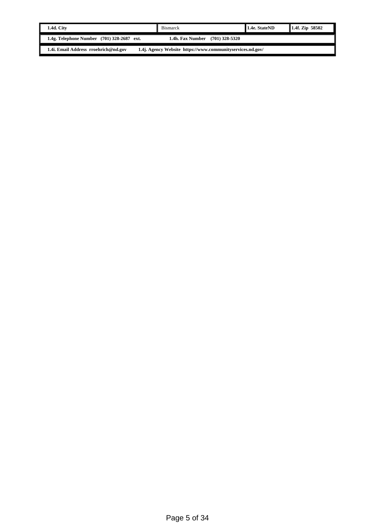| 1.4d. City                                 | <b>Bismarck</b>                                            | 1.4e. StateND | 1.4f. Zip 58502 |
|--------------------------------------------|------------------------------------------------------------|---------------|-----------------|
| 1.4g. Telephone Number (701) 328-2687 ext. | 1.4h. Fax Number (701) 328-5320                            |               |                 |
| 1.4i. Email Address rroehrich@nd.gov       | 1.4j. Agency Website https://www.communityservices.nd.gov/ |               |                 |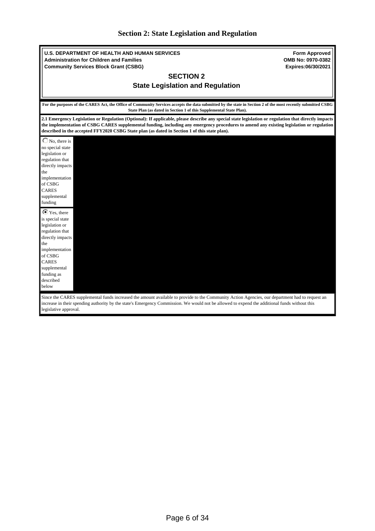<span id="page-5-0"></span>

|  | <b>Section 2: State Legislation and Regulation</b> |  |
|--|----------------------------------------------------|--|
|  |                                                    |  |

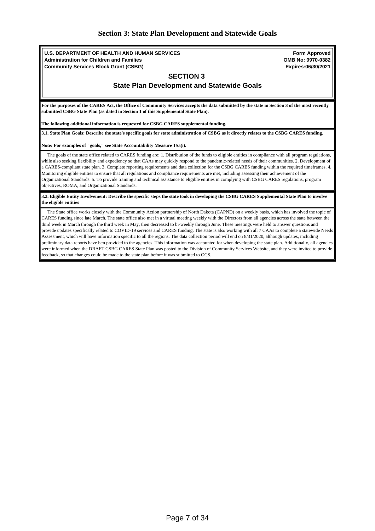**U.S. DEPARTMENT OF HEALTH AND HUMAN SERVICES Administration for Children and Families Community Services Block Grant (CSBG)**

**Form Approved OMB No: 0970-0382 Expires:06/30/2021**

### **SECTION 3**

#### <span id="page-6-0"></span>**State Plan Development and Statewide Goals**

**For the purposes of the CARES Act, the Office of Community Services accepts the data submitted by the state in Section 3 of the most recently submitted CSBG State Plan (as dated in Section 1 of this Supplemental State Plan).** 

**The following additional information is requested for CSBG CARES supplemental funding.**

**3.1. State Plan Goals: Describe the state's specific goals for state administration of CSBG as it directly relates to the CSBG CARES funding.**

**Note: For examples of "goals," see State Accountability Measure 1Sa(i).**

 The goals of the state office related to CARES funding are: 1. Distribution of the funds to eligible entities in compliance with all program regulations, while also seeking flexibility and expediency so that CAAs may quickly respond to the pandemic-related needs of their communities. 2. Development of a CARES-compliant state plan. 3. Complete reporting requirements and data collection for the CSBG CARES funding within the required timeframes. 4. Monitoring eligible entities to ensure that all regulations and compliance requirements are met, including assessing their achievement of the Organizational Standards. 5. To provide training and technical assistance to eligible entities in complying with CSBG CARES regulations, program objectives, ROMA, and Organizational Standards.

#### **3.2. Eligible Entity Involvement: Describe the specific steps the state took in developing the CSBG CARES Supplemental State Plan to involve the eligible entities**

 The State office works closely with the Community Action partnership of North Dakota (CAPND) on a weekly basis, which has involved the topic of CARES funding since late March. The state office also met in a virtual meeting weekly with the Directors from all agencies across the state between the third week in March through the third week in May, then decreased to bi-weekly through June. These meetings were held to answer questions and provide updates specifically related to COVID-19 services and CARES funding. The state is also working with all 7 CAAs to complete a statewide Needs Assessment, which will have information specific to all the regions. The data collection period will end on 8/31/2020, although updates, including preliminary data reports have ben provided to the agencies. This information was accounted for when developing the state plan. Additionally, all agencies were informed when the DRAFT CSBG CARES State Plan was posted to the Division of Community Services Website, and they were invited to provide feedback, so that changes could be made to the state plan before it was submitted to OCS.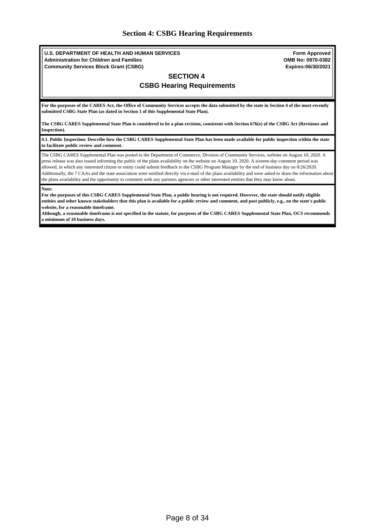<span id="page-7-0"></span>

| <b>Section 4: CSBG Hearing Requirements</b> |  |  |  |  |
|---------------------------------------------|--|--|--|--|
|---------------------------------------------|--|--|--|--|

**U.S. DEPARTMENT OF HEALTH AND HUMAN SERVICES Administration for Children and Families Community Services Block Grant (CSBG)**

**Form Approved OMB No: 0970-0382 Expires:06/30/2021**

### **SECTION 4 CSBG Hearing Requirements**

**For the purposes of the CARES Act, the Office of Community Services accepts the data submitted by the state in Section 4 of the most recently submitted CSBG State Plan (as dated in Section 1 of this Supplemental State Plan).**

**The CSBG CARES Supplemental State Plan is considered to be a plan revision, consistent with Section 676(e) of the CSBG Act (Revisions and Inspection).**

**4.1. Public Inspection: Describe how the CSBG CARES Supplemental State Plan has been made available for public inspection within the state to facilitate public review and comment.**

The CSBG CARES Supplemental Plan was posted to the Department of Commerce, Division of Community Services, website on August 10, 2020. A press release was also issued informing the public of the plans availability on the website on August 10, 2020. A sixteen-day comment period was allowed, in which any interested citizen or entity could submit feedback to the CSBG Program Manager by the end of business day on 8/26/2020. Additionally, the 7 CAAs and the state association were notified directly via e-mail of the plans availability and were asked to share the information about the plans availability and the opportunity to comment with any partners agencies or other interested entities that they may know about.

#### **Note:**

**For the purposes of this CSBG CARES Supplemental State Plan, a public hearing is not required. However, the state should notify eligible entities and other known stakeholders that this plan is available for a public review and comment, and post publicly, e.g., on the state's public website, for a reasonable timeframe.**

**Although, a reasonable timeframe is not specified in the statute, for purposes of the CSBG CARES Supplemental State Plan, OCS recommends a minimum of 10 business days.**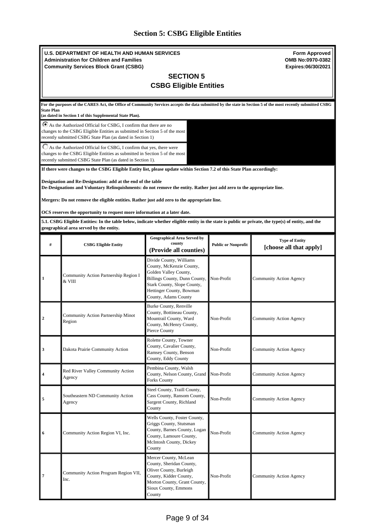### <span id="page-8-0"></span>**Section 5: CSBG Eligible Entities**

#### **U.S. DEPARTMENT OF HEALTH AND HUMAN SERVICES Administration for Children and Families Community Services Block Grant (CSBG) Form Approved OMB No:0970-0382 Expires:06/30/2021 SECTION 5 CSBG Eligible Entities For the purposes of the CARES Act, the Office of Community Services accepts the data submitted by the state in Section 5 of the most recently submitted CSBG State Plan (as dated in Section 1 of this Supplemental State Plan).** As the Authorized Official for CSBG, I confirm that there are no changes to the CSBG Eligible Entities as submitted in Section 5 of the most recently submitted CSBG State Plan (as dated in Section 1) As the Authorized Official for CSBG, I confirm that yes, there were changes to the CSBG Eligible Entities as submitted in Section 5 of the most recently submitted CSBG State Plan (as dated in Section 1). **If there were changes to the CSBG Eligible Entity list, please update within Section 7.2 of this State Plan accordingly: Designation and Re-Designation: add at the end of the table De-Designations and Voluntary Relinquishments: do not remove the entity. Rather just add zero to the appropriate line. Mergers: Do not remove the eligible entities. Rather just add zero to the appropriate line. OCS reserves the opportunity to request more information at a later date. 5.1. CSBG Eligible Entities: In the table below, indicate whether eligible entity in the state is public or private, the type(s) of entity, and the geographical area served by the entity. # CSBG Eligible Entity Geographical Area Served by county (Provide all counties) Public or Nonprofit Type of Entity [choose all that apply] 1** Community Action Partnership Region I & VIII Divide County, Williams County, McKenzie County, Golden Valley County, Billings County, Dunn County, Stark County, Slope County, Hettinger County, Bowman County, Adams County Non-Profit Community Action Agency  **2** Community Action Partnership Minot Region Burke County, Renville County, Bottineau County, Mountrail County, Ward County, McHenry County, Pierce County Non-Profit **Community Action Agency 3** Dakota Prairie Community Action Rolette County, Towner County, Cavalier County, Ramsey County, Benson County, Eddy County Non-Profit **Community Action Agency 4** Red River Valley Community Action Agency Pembina County, Walsh County, Nelson County, Grand Forks County Non-Profit Community Action Agency  **5** Southeastern ND Community Action Agency Steel County, Traill County, Cass County, Ransom County, Sargent County, Richland County Non-Profit Community Action Agency **Community Action Region VI, Inc.** Wells County, Foster County, Griggs County, Stutsman County, Barnes County, Logan County, Lamoure County, McIntosh County, Dickey County Non-Profit Community Action Agency  **7** Community Action Program Region VII, Inc. Mercer County, McLean County, Sheridan County, Oliver County, Burleigh County, Kidder County, Morton County, Grant County, Sioux County, Emmons County Non-Profit Community Action Agency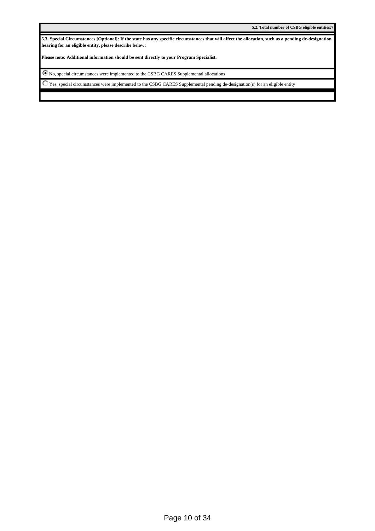**5.3. Special Circumstances [Optional]: If the state has any specific circumstances that will affect the allocation, such as a pending de-designation hearing for an eligible entity, please describe below:** 

**Please note: Additional information should be sent directly to your Program Specialist.**

No, special circumstances were implemented to the CSBG CARES Supplemental allocations

Yes, special circumstances were implemented to the CSBG CARES Supplemental pending de-designation(s) for an eligible entity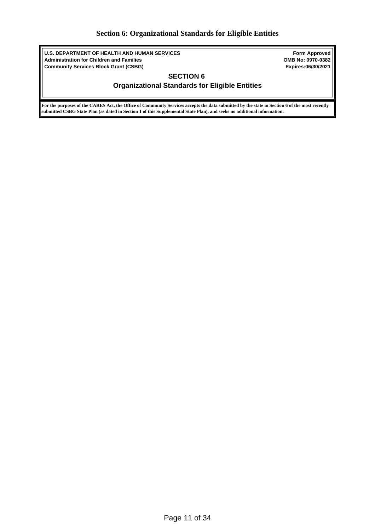# <span id="page-10-0"></span>**Section 6: Organizational Standards for Eligible Entities**

**U.S. DEPARTMENT OF HEALTH AND HUMAN SERVICES Administration for Children and Families Community Services Block Grant (CSBG)**

**Form Approved OMB No: 0970-0382 Expires:06/30/2021**

# **SECTION 6**

## **Organizational Standards for Eligible Entities**

**For the purposes of the CARES Act, the Office of Community Services accepts the data submitted by the state in Section 6 of the most recently submitted CSBG State Plan (as dated in Section 1 of this Supplemental State Plan), and seeks no additional information.**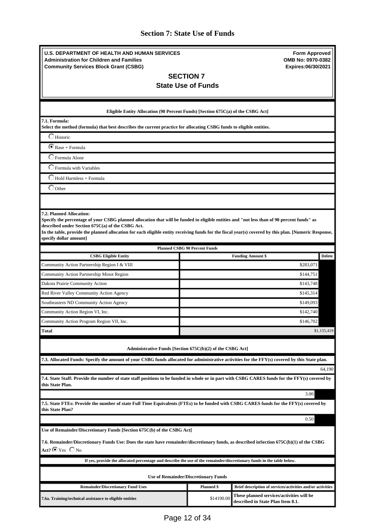## <span id="page-11-0"></span>**Section 7: State Use of Funds**

| U.S. DEPARTMENT OF HEALTH AND HUMAN SERVICES<br><b>Administration for Children and Families</b><br><b>Community Services Block Grant (CSBG)</b>                                                           | <b>Form Approved</b><br>OMB No: 0970-0382<br>Expires:06/30/2021 |                                                                                                         |
|-----------------------------------------------------------------------------------------------------------------------------------------------------------------------------------------------------------|-----------------------------------------------------------------|---------------------------------------------------------------------------------------------------------|
|                                                                                                                                                                                                           | <b>SECTION 7</b>                                                |                                                                                                         |
|                                                                                                                                                                                                           | <b>State Use of Funds</b>                                       |                                                                                                         |
|                                                                                                                                                                                                           |                                                                 |                                                                                                         |
| Eligible Entity Allocation (90 Percent Funds) [Section 675C(a) of the CSBG Act]                                                                                                                           |                                                                 |                                                                                                         |
| 7.1. Formula:<br>Select the method (formula) that best describes the current practice for allocating CSBG funds to eligible entities.                                                                     |                                                                 |                                                                                                         |
| $\Box$ Historic                                                                                                                                                                                           |                                                                 |                                                                                                         |
| $\bullet$ Base + Formula                                                                                                                                                                                  |                                                                 |                                                                                                         |
| C Formula Alone                                                                                                                                                                                           |                                                                 |                                                                                                         |
| G Formula with Variables                                                                                                                                                                                  |                                                                 |                                                                                                         |
| Hold Harmless + Formula                                                                                                                                                                                   |                                                                 |                                                                                                         |
| $\bigcirc$ Other                                                                                                                                                                                          |                                                                 |                                                                                                         |
|                                                                                                                                                                                                           |                                                                 |                                                                                                         |
|                                                                                                                                                                                                           |                                                                 |                                                                                                         |
| 7.2. Planned Allocation:<br>Specify the percentage of your CSBG planned allocation that will be funded to eligible entities and "not less than of 90 percent funds" as                                    |                                                                 |                                                                                                         |
| described under Section 675C(a) of the CSBG Act.<br>In the table, provide the planned allocation for each eligible entity receiving funds for the fiscal year(s) covered by this plan. [Numeric Response, |                                                                 |                                                                                                         |
| specify dollar amount]                                                                                                                                                                                    |                                                                 |                                                                                                         |
|                                                                                                                                                                                                           | <b>Planned CSBG 90 Percent Funds</b>                            |                                                                                                         |
| <b>CSBG Eligible Entity</b>                                                                                                                                                                               |                                                                 | <b>Delete</b><br><b>Funding Amount \$</b>                                                               |
| Community Action Partnership Region I & VIII                                                                                                                                                              |                                                                 | \$283,071                                                                                               |
| Community Action Partnership Minot Region                                                                                                                                                                 |                                                                 | \$144,751                                                                                               |
| Dakota Prairie Community Action                                                                                                                                                                           |                                                                 | \$143,748                                                                                               |
| Red River Valley Community Action Agency                                                                                                                                                                  |                                                                 | \$145,314<br>\$149,093                                                                                  |
| Southeastern ND Community Action Agency<br>Community Action Region VI, Inc.                                                                                                                               |                                                                 | \$142,740                                                                                               |
| Community Action Program Region VII, Inc.                                                                                                                                                                 |                                                                 | \$146,702                                                                                               |
| Total                                                                                                                                                                                                     |                                                                 | \$1,155,419                                                                                             |
|                                                                                                                                                                                                           |                                                                 |                                                                                                         |
| Administrative Funds [Section 675C(b)(2) of the CSBG Act]                                                                                                                                                 |                                                                 |                                                                                                         |
| 7.3. Allocated Funds: Specify the amount of your CSBG funds allocated for administrative activities for the FFY(s) covered by this State plan.                                                            |                                                                 |                                                                                                         |
|                                                                                                                                                                                                           |                                                                 | 64,190                                                                                                  |
| 7.4. State Staff: Provide the number of state staff positions to be funded in whole or in part with CSBG CARES funds for the FFY(s) covered by                                                            |                                                                 |                                                                                                         |
| this State Plan.                                                                                                                                                                                          |                                                                 | 3.00                                                                                                    |
| 7.5. State FTEs: Provide the number of state Full Time Equivalents (FTEs) to be funded with CSBG CARES funds for the FFY(s) covered by                                                                    |                                                                 |                                                                                                         |
| this State Plan?                                                                                                                                                                                          |                                                                 |                                                                                                         |
|                                                                                                                                                                                                           |                                                                 | 0.50                                                                                                    |
| Use of Remainder/Discretionary Funds [Section 675C(b) of the CSBG Act]                                                                                                                                    |                                                                 |                                                                                                         |
| 7.6. Remainder/Discretionary Funds Use: Does the state have remainder/discretionary funds, as described inSection 675C(b)(1) of the CSBG                                                                  |                                                                 |                                                                                                         |
| Act? $\bullet$ Yes $\circ$ No                                                                                                                                                                             |                                                                 |                                                                                                         |
| If yes, provide the allocated percentage and describe the use of the remainder/discretionary funds in the table below.                                                                                    |                                                                 |                                                                                                         |
|                                                                                                                                                                                                           |                                                                 |                                                                                                         |
|                                                                                                                                                                                                           | <b>Use of Remainder/Discretionary Funds</b>                     |                                                                                                         |
| <b>Remainder/Discretionary Fund Uses</b>                                                                                                                                                                  | <b>Planned</b> \$                                               | Brief description of services/activities and/or activities<br>These planned services/activities will be |
| 7.6a. Training/technical assistance to eligible entities                                                                                                                                                  | \$14190.00                                                      | described in State Plan Item 8.1.                                                                       |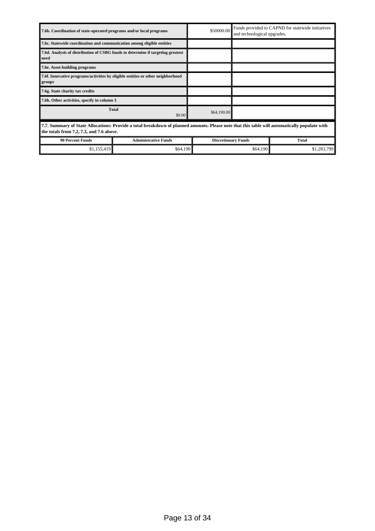| 7.6b. Coordination of state-operated programs and/or local programs                                                                                                                       | \$50000.00                  | Funds provided to CAPND for statewide initiatives<br>and technological upgrades. |          |              |  |  |
|-------------------------------------------------------------------------------------------------------------------------------------------------------------------------------------------|-----------------------------|----------------------------------------------------------------------------------|----------|--------------|--|--|
| 7.6c. Statewide coordination and communication among eligible entities                                                                                                                    |                             |                                                                                  |          |              |  |  |
| 7.6d. Analysis of distribution of CSBG funds to determine if targeting greatest<br>need                                                                                                   |                             |                                                                                  |          |              |  |  |
| 7.6e. Asset-building programs                                                                                                                                                             |                             |                                                                                  |          |              |  |  |
| 7.6f. Innovative programs/activities by eligible entities or other neighborhood<br>groups                                                                                                 |                             |                                                                                  |          |              |  |  |
| 7.6g. State charity tax credits                                                                                                                                                           |                             |                                                                                  |          |              |  |  |
| 7.6h. Other activities, specify in column 3                                                                                                                                               |                             |                                                                                  |          |              |  |  |
| <b>Total</b>                                                                                                                                                                              | \$64,190.00                 |                                                                                  |          |              |  |  |
| 7.7. Summary of State Allocations: Provide a total breakdown of planned amounts. Please note that this table will automatically populate with<br>the totals from 7.2, 7.3, and 7.6 above. |                             |                                                                                  |          |              |  |  |
| <b>90 Percent Funds</b>                                                                                                                                                                   | <b>Administrative Funds</b> | <b>Discretionary Funds</b>                                                       |          | <b>Total</b> |  |  |
| \$1,155,419<br>\$64,190                                                                                                                                                                   |                             |                                                                                  | \$64,190 | \$1,283,799  |  |  |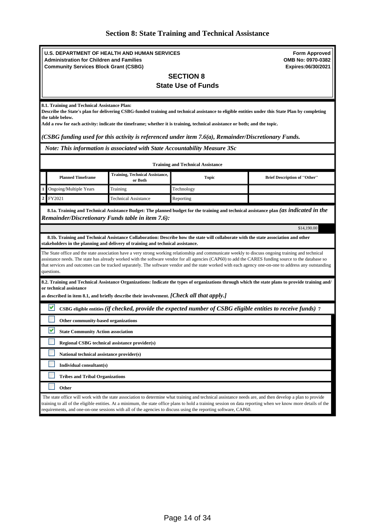<span id="page-13-0"></span>

|  |  |  |  |  | <b>Section 8: State Training and Technical Assistance</b> |
|--|--|--|--|--|-----------------------------------------------------------|
|--|--|--|--|--|-----------------------------------------------------------|

| <b>U.S. DEPARTMENT OF HEALTH AND HUMAN SERVICES</b><br><b>Administration for Children and Families</b><br><b>Community Services Block Grant (CSBG)</b>                                                                                                                                                                                                                                                                                                   | <b>Form Approved</b><br>OMB No: 0970-0382<br>Expires:06/30/2021 |                                                                                                                                                                                                                                                                                            |                                                                                                                                                                    |  |  |
|----------------------------------------------------------------------------------------------------------------------------------------------------------------------------------------------------------------------------------------------------------------------------------------------------------------------------------------------------------------------------------------------------------------------------------------------------------|-----------------------------------------------------------------|--------------------------------------------------------------------------------------------------------------------------------------------------------------------------------------------------------------------------------------------------------------------------------------------|--------------------------------------------------------------------------------------------------------------------------------------------------------------------|--|--|
|                                                                                                                                                                                                                                                                                                                                                                                                                                                          |                                                                 | <b>SECTION 8</b><br><b>State Use of Funds</b>                                                                                                                                                                                                                                              |                                                                                                                                                                    |  |  |
| 8.1. Training and Technical Assistance Plan:<br>Describe the State's plan for delivering CSBG-funded training and technical assistance to eligible entities under this State Plan by completing<br>the table below.<br>Add a row for each activity: indicate the timeframe; whether it is training, technical assistance or both; and the topic.<br>(CSBG funding used for this activity is referenced under item 7.6(a), Remainder/Discretionary Funds. |                                                                 |                                                                                                                                                                                                                                                                                            |                                                                                                                                                                    |  |  |
|                                                                                                                                                                                                                                                                                                                                                                                                                                                          |                                                                 | Note: This information is associated with State Accountability Measure 3Sc<br><b>Training and Technical Assistance</b>                                                                                                                                                                     |                                                                                                                                                                    |  |  |
| <b>Planned Timeframe</b>                                                                                                                                                                                                                                                                                                                                                                                                                                 | <b>Training, Technical Assistance,</b><br>or Both               | <b>Topic</b>                                                                                                                                                                                                                                                                               | <b>Brief Description of "Other"</b>                                                                                                                                |  |  |
| Ongoing/Multiple Years                                                                                                                                                                                                                                                                                                                                                                                                                                   | Training                                                        | Technology                                                                                                                                                                                                                                                                                 |                                                                                                                                                                    |  |  |
| $\overline{2}$<br>FY2021                                                                                                                                                                                                                                                                                                                                                                                                                                 | <b>Technical Assistance</b>                                     | Reporting                                                                                                                                                                                                                                                                                  |                                                                                                                                                                    |  |  |
| stakeholders in the planning and delivery of training and technical assistance.                                                                                                                                                                                                                                                                                                                                                                          |                                                                 | 8.1b. Training and Technical Assistance Collaboration: Describe how the state will collaborate with the state association and other<br>The State office and the state association have a very strong working relationship and communicate weekly to discuss ongoing training and technical | \$14,190.00<br>assistance needs. The state has already worked with the software vendor for all agencies (CAP60) to add the CARES funding source to the database so |  |  |
| questions.                                                                                                                                                                                                                                                                                                                                                                                                                                               |                                                                 |                                                                                                                                                                                                                                                                                            | that services and outcomes can be tracked separately. The software vendor and the state worked with each agency one-on-one to address any outstanding              |  |  |
| or technical assistance<br>as described in item 8.1, and briefly describe their involvement. [Check all that apply.]                                                                                                                                                                                                                                                                                                                                     |                                                                 |                                                                                                                                                                                                                                                                                            | 8.2. Training and Technical Assistance Organizations: Indicate the types of organizations through which the state plans to provide training and/                   |  |  |
| v                                                                                                                                                                                                                                                                                                                                                                                                                                                        |                                                                 | CSBG eligible entities (if checked, provide the expected number of CSBG eligible entities to receive funds) 7                                                                                                                                                                              |                                                                                                                                                                    |  |  |
| Other community-based organizations                                                                                                                                                                                                                                                                                                                                                                                                                      |                                                                 |                                                                                                                                                                                                                                                                                            |                                                                                                                                                                    |  |  |
| v<br><b>State Community Action association</b>                                                                                                                                                                                                                                                                                                                                                                                                           |                                                                 |                                                                                                                                                                                                                                                                                            |                                                                                                                                                                    |  |  |
| Regional CSBG technical assistance provider(s)                                                                                                                                                                                                                                                                                                                                                                                                           |                                                                 |                                                                                                                                                                                                                                                                                            |                                                                                                                                                                    |  |  |
| National technical assistance provider(s)                                                                                                                                                                                                                                                                                                                                                                                                                |                                                                 |                                                                                                                                                                                                                                                                                            |                                                                                                                                                                    |  |  |
| Individual consultant(s)                                                                                                                                                                                                                                                                                                                                                                                                                                 |                                                                 |                                                                                                                                                                                                                                                                                            |                                                                                                                                                                    |  |  |
| <b>Tribes and Tribal Organizations</b>                                                                                                                                                                                                                                                                                                                                                                                                                   |                                                                 |                                                                                                                                                                                                                                                                                            |                                                                                                                                                                    |  |  |
| Other                                                                                                                                                                                                                                                                                                                                                                                                                                                    |                                                                 |                                                                                                                                                                                                                                                                                            |                                                                                                                                                                    |  |  |
|                                                                                                                                                                                                                                                                                                                                                                                                                                                          |                                                                 | The state office will work with the state association to determine what training and technical assistance needs are, and then develop a plan to provide<br>requirements, and one-on-one sessions with all of the agencies to discuss using the reporting software, CAP60.                  | training to all of the eligible entities. At a minimum, the state office plans to hold a training session on data reporting when we know more details of the       |  |  |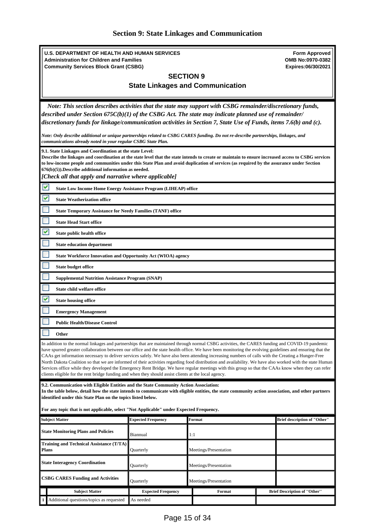<span id="page-14-0"></span>

|  |  |  |  | <b>Section 9: State Linkages and Communication</b> |  |
|--|--|--|--|----------------------------------------------------|--|
|--|--|--|--|----------------------------------------------------|--|

| <b>U.S. DEPARTMENT OF HEALTH AND HUMAN SERVICES</b><br><b>Form Approved</b><br>OMB No:0970-0382<br><b>Administration for Children and Families</b><br><b>Community Services Block Grant (CSBG)</b><br>Expires:06/30/2021<br><b>SECTION 9</b><br><b>State Linkages and Communication</b>                                                                                                                                                                                                                                                                                                                                                                                                                                                                                                                                                                                                       |                           |                       |                                     |  |  |
|-----------------------------------------------------------------------------------------------------------------------------------------------------------------------------------------------------------------------------------------------------------------------------------------------------------------------------------------------------------------------------------------------------------------------------------------------------------------------------------------------------------------------------------------------------------------------------------------------------------------------------------------------------------------------------------------------------------------------------------------------------------------------------------------------------------------------------------------------------------------------------------------------|---------------------------|-----------------------|-------------------------------------|--|--|
| Note: This section describes activities that the state may support with CSBG remainder/discretionary funds,<br>described under Section 675 $C(b)(1)$ of the CSBG Act. The state may indicate planned use of remainder/<br>discretionary funds for linkage/communication activities in Section 7, State Use of Funds, items 7.6(b) and (c).<br>Note: Only describe additional or unique partnerships related to CSBG CARES funding. Do not re-describe partnerships, linkages, and<br>communications already noted in your regular CSBG State Plan.<br>9.1. State Linkages and Coordination at the state Level:<br>Describe the linkages and coordination at the state level that the state intends to create or maintain to ensure increased access to CSBG services                                                                                                                          |                           |                       |                                     |  |  |
| to low-income people and communities under this State Plan and avoid duplication of services (as required by the assurance under Section<br>$676(b)(5)$ ). Describe additional information as needed.<br>[Check all that apply and narrative where applicable]                                                                                                                                                                                                                                                                                                                                                                                                                                                                                                                                                                                                                                |                           |                       |                                     |  |  |
| ⊻<br><b>State Low Income Home Energy Assistance Program (LIHEAP) office</b>                                                                                                                                                                                                                                                                                                                                                                                                                                                                                                                                                                                                                                                                                                                                                                                                                   |                           |                       |                                     |  |  |
| ⊻<br><b>State Weatherization office</b>                                                                                                                                                                                                                                                                                                                                                                                                                                                                                                                                                                                                                                                                                                                                                                                                                                                       |                           |                       |                                     |  |  |
| <b>State Temporary Assistance for Needy Families (TANF) office</b>                                                                                                                                                                                                                                                                                                                                                                                                                                                                                                                                                                                                                                                                                                                                                                                                                            |                           |                       |                                     |  |  |
| <b>State Head Start office</b>                                                                                                                                                                                                                                                                                                                                                                                                                                                                                                                                                                                                                                                                                                                                                                                                                                                                |                           |                       |                                     |  |  |
| ⊻<br>State public health office                                                                                                                                                                                                                                                                                                                                                                                                                                                                                                                                                                                                                                                                                                                                                                                                                                                               |                           |                       |                                     |  |  |
| <b>State education department</b>                                                                                                                                                                                                                                                                                                                                                                                                                                                                                                                                                                                                                                                                                                                                                                                                                                                             |                           |                       |                                     |  |  |
| <b>State Workforce Innovation and Opportunity Act (WIOA) agency</b>                                                                                                                                                                                                                                                                                                                                                                                                                                                                                                                                                                                                                                                                                                                                                                                                                           |                           |                       |                                     |  |  |
| <b>State budget office</b>                                                                                                                                                                                                                                                                                                                                                                                                                                                                                                                                                                                                                                                                                                                                                                                                                                                                    |                           |                       |                                     |  |  |
| <b>Supplemental Nutrition Assistance Program (SNAP)</b>                                                                                                                                                                                                                                                                                                                                                                                                                                                                                                                                                                                                                                                                                                                                                                                                                                       |                           |                       |                                     |  |  |
| <b>State child welfare office</b>                                                                                                                                                                                                                                                                                                                                                                                                                                                                                                                                                                                                                                                                                                                                                                                                                                                             |                           |                       |                                     |  |  |
| <b>State housing office</b>                                                                                                                                                                                                                                                                                                                                                                                                                                                                                                                                                                                                                                                                                                                                                                                                                                                                   |                           |                       |                                     |  |  |
| <b>Emergency Management</b>                                                                                                                                                                                                                                                                                                                                                                                                                                                                                                                                                                                                                                                                                                                                                                                                                                                                   |                           |                       |                                     |  |  |
| <b>Public Health/Disease Control</b>                                                                                                                                                                                                                                                                                                                                                                                                                                                                                                                                                                                                                                                                                                                                                                                                                                                          |                           |                       |                                     |  |  |
| Other                                                                                                                                                                                                                                                                                                                                                                                                                                                                                                                                                                                                                                                                                                                                                                                                                                                                                         |                           |                       |                                     |  |  |
| In addition to the normal linkages and partnerships that are maintained through normal CSBG activities, the CARES funding and COVID-19 pandemic<br>have spurred greater collaboration between our office and the state health office. We have been monitoring the evolving guidelines and ensuring that the<br>CAAs get information necessary to deliver services safely. We have also been attending increasing numbers of calls with the Creating a Hunger-Free<br>North Dakota Coalition so that we are informed of their activities regarding food distribution and availability. We have also worked with the state Human<br>Services office while they developed the Emergency Rent Bridge. We have regular meetings with this group so that the CAAs know when they can refer<br>clients eligible for the rent bridge funding and when they should assist clients at the local agency. |                           |                       |                                     |  |  |
| 9.2. Communication with Eligible Entities and the State Community Action Association:<br>In the table below, detail how the state intends to communicate with eligible entities, the state community action association, and other partners<br>identified under this State Plan on the topics listed below.                                                                                                                                                                                                                                                                                                                                                                                                                                                                                                                                                                                   |                           |                       |                                     |  |  |
| For any topic that is not applicable, select "Not Applicable" under Expected Frequency.                                                                                                                                                                                                                                                                                                                                                                                                                                                                                                                                                                                                                                                                                                                                                                                                       |                           |                       |                                     |  |  |
| <b>Subject Matter</b>                                                                                                                                                                                                                                                                                                                                                                                                                                                                                                                                                                                                                                                                                                                                                                                                                                                                         | <b>Expected Frequency</b> | Format                | <b>Brief description of "Other"</b> |  |  |
| <b>State Monitoring Plans and Policies</b>                                                                                                                                                                                                                                                                                                                                                                                                                                                                                                                                                                                                                                                                                                                                                                                                                                                    | Biannual                  | 1:1                   |                                     |  |  |
| <b>Training and Technical Assistance (T/TA)</b><br><b>Plans</b>                                                                                                                                                                                                                                                                                                                                                                                                                                                                                                                                                                                                                                                                                                                                                                                                                               | Quarterly                 | Meetings/Presentation |                                     |  |  |
| <b>State Interagency Coordination</b>                                                                                                                                                                                                                                                                                                                                                                                                                                                                                                                                                                                                                                                                                                                                                                                                                                                         | Quarterly                 | Meetings/Presentation |                                     |  |  |
| <b>CSBG CARES Funding and Activities</b>                                                                                                                                                                                                                                                                                                                                                                                                                                                                                                                                                                                                                                                                                                                                                                                                                                                      | Quarterly                 | Meetings/Presentation |                                     |  |  |
| <b>Subject Matter</b>                                                                                                                                                                                                                                                                                                                                                                                                                                                                                                                                                                                                                                                                                                                                                                                                                                                                         | <b>Expected Frequency</b> | Format                | <b>Brief Description of "Other"</b> |  |  |

**1** Additional questions/topics as requested As needed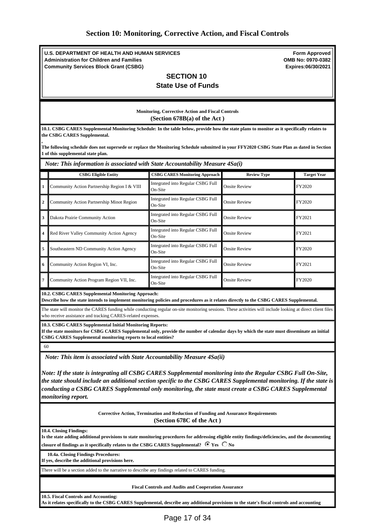<span id="page-16-0"></span>**U.S. DEPARTMENT OF HEALTH AND HUMAN SERVICES Administration for Children and Families Community Services Block Grant (CSBG) Form Approved OMB No: 0970-0382 Expires:06/30/2021 SECTION 10 State Use of Funds Monitoring, Corrective Action and Fiscal Controls (Section 678B(a) of the Act ) 10.1. CSBG CARES Supplemental Monitoring Schedule: In the table below, provide how the state plans to monitor as it specifically relates to the CSBG CARES Supplemental. , The following schedule does not supersede or replace the Monitoring Schedule submitted in your FFY2020 CSBG State Plan as dated in Section 1 of this supplemental state plan.** *Note: This information is associated with State Accountability Measure 4Sa(i)* **CSBG Eligible Entity CSBG CARES Monitoring Approach Review Type Target Year 1** Community Action Partnership Region I & VIII  $\qquad$  Cn-Site Integrated into Regular CSBG Full Onsite Review **2** Community Action Partnership Minot Region Integrated into Regular CSBG Full On-Site Onsite Review FY2020 **3** Dakota Prairie Community Action Integrated into Regular CSBG Full On-Site On-Site Onsite Review FY2021 **4** Red River Valley Community Action Agency Integrated into Regular CSBG Full On-Site Onsite Review FY2021 **5** Southeastern ND Community Action Agency Integrated into Regular CSBG Full On-Site On-Site Onsite Review FY2020 **6** Community Action Region VI, Inc. Integrated into Regular CSBG Full  $\Omega$ <sub>Dn</sub>-Site On-Site Onsite Review FY2021 **7** Community Action Program Region VII, Inc. Integrated into Region VII, Inc. Integrated into Regular CSBG Full Onsite Review FY2020 **10.2. CSBG CARES Supplemental Monitoring Approach: Describe how the state intends to implement monitoring policies and procedures as it relates directly to the CSBG CARES Supplemental.** The state will monitor the CARES funding while conducting regular on-site monitoring sessions. These activities will include looking at direct client files who receive assistance and tracking CARES-related expenses. **10.3. CSBG CARES Supplemental Initial Monitoring Reports: If the state monitors for CSBG CARES Supplemental only, provide the number of calendar days by which the state must disseminate an initial CSBG CARES Supplemental monitoring reports to local entities?** 60 *Note: This item is associated with State Accountability Measure 4Sa(ii)*

*Note: If the state is integrating all CSBG CARES Supplemental monitoring into the Regular CSBG Full On-Site,*

*the state should include an additional section specific to the CSBG CARES Supplemental monitoring. If the state is conducting a CSBG CARES Supplemental only monitoring, the state must create a CSBG CARES Supplemental monitoring report.*

**Corrective Action, Termination and Reduction of Funding and Assurance Requirements (Section 678C of the Act ) 10.4. Closing Findings: Is the state adding additional provisions to state monitoring procedures for addressing eligible entity findings/deficiencies, and the documenting** closure of findings as it specifically relates to the CSBG CARES Supplemental?  $\bullet$  Yes  $\circ$  No **10.4a. Closing Findings Procedures: If yes, describe the additional provisions here.** There will be a section added to the narrative to describe any findings related to CARES funding. **Fiscal Controls and Audits and Cooperation Assurance**

**10.5. Fiscal Controls and Accounting: As it relates specifically to the CSBG CARES Supplemental, describe any additional provisions to the state's fiscal controls and accounting**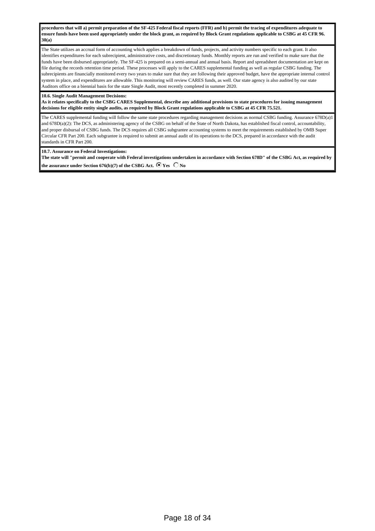**procedures that will a) permit preparation of the SF-425 Federal fiscal reports (FFR) and b) permit the tracing of expenditures adequate to ensure funds have been used appropriately under the block grant, as required by Block Grant regulations applicable to CSBG at 45 CFR 96. 30(a)**

The State utilizes an accrual form of accounting which applies a breakdown of funds, projects, and activity numbers specific to each grant. It also identifies expenditures for each subrecipient, administrative costs, and discretionary funds. Monthly reports are run and verified to make sure that the funds have been disbursed appropriately. The SF-425 is prepared on a semi-annual and annual basis. Report and spreadsheet documentation are kept on file during the records retention time period. These processes will apply to the CARES supplemental funding as well as regular CSBG funding. The subrecipients are financially monitored every two years to make sure that they are following their approved budget, have the appropriate internal control system in place, and expenditures are allowable. This monitoring will review CARES funds, as well. Our state agency is also audited by our state Auditors office on a biennial basis for the state Single Audit, most recently completed in summer 2020.

#### **10.6. Single Audit Management Decisions:**

**As it relates specifically to the CSBG CARES Supplemental, describe any additional provisions to state procedures for issuing management decisions for eligible entity single audits, as required by Block Grant regulations applicable to CSBG at [45 CFR 75.521.](https://www.law.cornell.edu/cfr/text/45/75.521)**

The CARES supplemental funding will follow the same state procedures regarding management decisions as normal CSBG funding. Assurance 678D(a)1 and 678D(a)(2): The DCS, as administering agency of the CSBG on behalf of the State of North Dakota, has established fiscal control, accountability, and proper disbursal of CSBG funds. The DCS requires all CSBG subgrantee accounting systems to meet the requirements established by OMB Super Circular CFR Part 200. Each subgrantee is required to submit an annual audit of its operations to the DCS, prepared in accordance with the audit standards in CFR Part 200.

#### **10.7. Assurance on Federal Investigations:**

**The state will "permit and cooperate with Federal investigations undertaken in accordance with Section 678D" of the CSBG Act, as required by** the assurance under Section 676(b)(7) of the CSBG Act.  $\widehat{\textbf{C}}$  Yes  $\ \widehat{\textbf{C}}$  No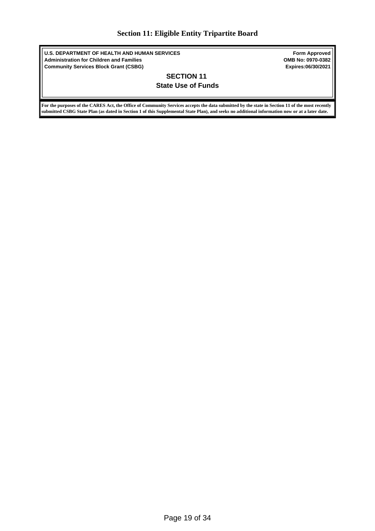**U.S. DEPARTMENT OF HEALTH AND HUMAN SERVICES Administration for Children and Families Community Services Block Grant (CSBG)**

**Form Approved OMB No: 0970-0382 Expires:06/30/2021**

## <span id="page-18-0"></span>**SECTION 11 State Use of Funds**

**For the purposes of the CARES Act, the Office of Community Services accepts the data submitted by the state in Section 11 of the most recently submitted CSBG State Plan (as dated in Section 1 of this Supplemental State Plan), and seeks no additional information now or at a later date.**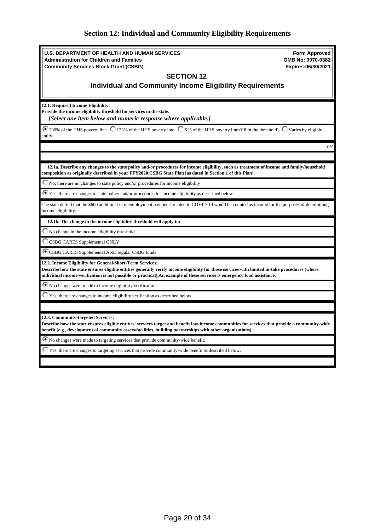# <span id="page-19-0"></span>**Section 12: Individual and Community Eligibility Requirements**

| <b>U.S. DEPARTMENT OF HEALTH AND HUMAN SERVICES</b><br><b>Form Approved</b><br>OMB No: 0970-0382<br><b>Administration for Children and Families</b><br><b>Community Services Block Grant (CSBG)</b><br>Expires:06/30/2021<br><b>SECTION 12</b><br><b>Individual and Community Income Eligibility Requirements</b><br>12.1. Required Income Eligibility:<br>Provide the income eligibility threshold for services in the state.<br>[Select one item below and numeric response where applicable.]<br>$\bullet$ 200% of the HHS poverty line $\bullet$ 125% of the HHS poverty line $\bullet$ X% of the HHS poverty line (fill in the threshold) $\bullet$ Varies by eligible<br>entity<br>12.1a. Describe any changes to the state policy and/or procedures for income eligibility, such as treatment of income and family/household<br>composition as originally described in your FFY2020 CSBG State Plan [as dated in Section 1 of this Plan].<br>$\Box$ No, there are no changes to state policy and/or procedures for income eligibility<br>The Yes, there are changes to state policy and/or procedures for income eligibility as described below<br>The state defind that the \$600 additional in unemployment payments related to COVID-19 would be counted as income for the purposes of determining<br>income eligibility.<br>12.1b. The change in the income eligibility threshold will apply to:<br>No change in the income eligibility threshold<br>C CSBG CARES Supplemental ONLY<br>CSBG CARES Supplemental AND regular CSBG funds<br>12.2. Income Eligibility for General/Short-Term Services:<br>Describe how the state ensures eligible entities generally verify income eligibility for those services with limited in-take procedures (where<br>individual income verification is not possible or practical), An example of these services is emergency food assistance.<br>No changes were made to income eligibility verification<br>$\Box$ Yes, there are changes to income eligibility verification as described below<br>12.3. Community-targeted Services:<br>Describe how the state ensures eligible entities' services target and benefit low-income communities for services that provide a community-wide<br>benefit (e.g., development of community assets/facilities, building partnerships with other organizations). |  |    |  |  |  |
|-------------------------------------------------------------------------------------------------------------------------------------------------------------------------------------------------------------------------------------------------------------------------------------------------------------------------------------------------------------------------------------------------------------------------------------------------------------------------------------------------------------------------------------------------------------------------------------------------------------------------------------------------------------------------------------------------------------------------------------------------------------------------------------------------------------------------------------------------------------------------------------------------------------------------------------------------------------------------------------------------------------------------------------------------------------------------------------------------------------------------------------------------------------------------------------------------------------------------------------------------------------------------------------------------------------------------------------------------------------------------------------------------------------------------------------------------------------------------------------------------------------------------------------------------------------------------------------------------------------------------------------------------------------------------------------------------------------------------------------------------------------------------------------------------------------------------------------------------------------------------------------------------------------------------------------------------------------------------------------------------------------------------------------------------------------------------------------------------------------------------------------------------------------------------------------------------------------------------------------------------------------------------------------------------------------------------------------------------------|--|----|--|--|--|
|                                                                                                                                                                                                                                                                                                                                                                                                                                                                                                                                                                                                                                                                                                                                                                                                                                                                                                                                                                                                                                                                                                                                                                                                                                                                                                                                                                                                                                                                                                                                                                                                                                                                                                                                                                                                                                                                                                                                                                                                                                                                                                                                                                                                                                                                                                                                                       |  |    |  |  |  |
|                                                                                                                                                                                                                                                                                                                                                                                                                                                                                                                                                                                                                                                                                                                                                                                                                                                                                                                                                                                                                                                                                                                                                                                                                                                                                                                                                                                                                                                                                                                                                                                                                                                                                                                                                                                                                                                                                                                                                                                                                                                                                                                                                                                                                                                                                                                                                       |  |    |  |  |  |
|                                                                                                                                                                                                                                                                                                                                                                                                                                                                                                                                                                                                                                                                                                                                                                                                                                                                                                                                                                                                                                                                                                                                                                                                                                                                                                                                                                                                                                                                                                                                                                                                                                                                                                                                                                                                                                                                                                                                                                                                                                                                                                                                                                                                                                                                                                                                                       |  |    |  |  |  |
|                                                                                                                                                                                                                                                                                                                                                                                                                                                                                                                                                                                                                                                                                                                                                                                                                                                                                                                                                                                                                                                                                                                                                                                                                                                                                                                                                                                                                                                                                                                                                                                                                                                                                                                                                                                                                                                                                                                                                                                                                                                                                                                                                                                                                                                                                                                                                       |  |    |  |  |  |
|                                                                                                                                                                                                                                                                                                                                                                                                                                                                                                                                                                                                                                                                                                                                                                                                                                                                                                                                                                                                                                                                                                                                                                                                                                                                                                                                                                                                                                                                                                                                                                                                                                                                                                                                                                                                                                                                                                                                                                                                                                                                                                                                                                                                                                                                                                                                                       |  |    |  |  |  |
|                                                                                                                                                                                                                                                                                                                                                                                                                                                                                                                                                                                                                                                                                                                                                                                                                                                                                                                                                                                                                                                                                                                                                                                                                                                                                                                                                                                                                                                                                                                                                                                                                                                                                                                                                                                                                                                                                                                                                                                                                                                                                                                                                                                                                                                                                                                                                       |  |    |  |  |  |
|                                                                                                                                                                                                                                                                                                                                                                                                                                                                                                                                                                                                                                                                                                                                                                                                                                                                                                                                                                                                                                                                                                                                                                                                                                                                                                                                                                                                                                                                                                                                                                                                                                                                                                                                                                                                                                                                                                                                                                                                                                                                                                                                                                                                                                                                                                                                                       |  |    |  |  |  |
|                                                                                                                                                                                                                                                                                                                                                                                                                                                                                                                                                                                                                                                                                                                                                                                                                                                                                                                                                                                                                                                                                                                                                                                                                                                                                                                                                                                                                                                                                                                                                                                                                                                                                                                                                                                                                                                                                                                                                                                                                                                                                                                                                                                                                                                                                                                                                       |  |    |  |  |  |
|                                                                                                                                                                                                                                                                                                                                                                                                                                                                                                                                                                                                                                                                                                                                                                                                                                                                                                                                                                                                                                                                                                                                                                                                                                                                                                                                                                                                                                                                                                                                                                                                                                                                                                                                                                                                                                                                                                                                                                                                                                                                                                                                                                                                                                                                                                                                                       |  |    |  |  |  |
|                                                                                                                                                                                                                                                                                                                                                                                                                                                                                                                                                                                                                                                                                                                                                                                                                                                                                                                                                                                                                                                                                                                                                                                                                                                                                                                                                                                                                                                                                                                                                                                                                                                                                                                                                                                                                                                                                                                                                                                                                                                                                                                                                                                                                                                                                                                                                       |  |    |  |  |  |
|                                                                                                                                                                                                                                                                                                                                                                                                                                                                                                                                                                                                                                                                                                                                                                                                                                                                                                                                                                                                                                                                                                                                                                                                                                                                                                                                                                                                                                                                                                                                                                                                                                                                                                                                                                                                                                                                                                                                                                                                                                                                                                                                                                                                                                                                                                                                                       |  | 0% |  |  |  |
|                                                                                                                                                                                                                                                                                                                                                                                                                                                                                                                                                                                                                                                                                                                                                                                                                                                                                                                                                                                                                                                                                                                                                                                                                                                                                                                                                                                                                                                                                                                                                                                                                                                                                                                                                                                                                                                                                                                                                                                                                                                                                                                                                                                                                                                                                                                                                       |  |    |  |  |  |
|                                                                                                                                                                                                                                                                                                                                                                                                                                                                                                                                                                                                                                                                                                                                                                                                                                                                                                                                                                                                                                                                                                                                                                                                                                                                                                                                                                                                                                                                                                                                                                                                                                                                                                                                                                                                                                                                                                                                                                                                                                                                                                                                                                                                                                                                                                                                                       |  |    |  |  |  |
|                                                                                                                                                                                                                                                                                                                                                                                                                                                                                                                                                                                                                                                                                                                                                                                                                                                                                                                                                                                                                                                                                                                                                                                                                                                                                                                                                                                                                                                                                                                                                                                                                                                                                                                                                                                                                                                                                                                                                                                                                                                                                                                                                                                                                                                                                                                                                       |  |    |  |  |  |
|                                                                                                                                                                                                                                                                                                                                                                                                                                                                                                                                                                                                                                                                                                                                                                                                                                                                                                                                                                                                                                                                                                                                                                                                                                                                                                                                                                                                                                                                                                                                                                                                                                                                                                                                                                                                                                                                                                                                                                                                                                                                                                                                                                                                                                                                                                                                                       |  |    |  |  |  |
|                                                                                                                                                                                                                                                                                                                                                                                                                                                                                                                                                                                                                                                                                                                                                                                                                                                                                                                                                                                                                                                                                                                                                                                                                                                                                                                                                                                                                                                                                                                                                                                                                                                                                                                                                                                                                                                                                                                                                                                                                                                                                                                                                                                                                                                                                                                                                       |  |    |  |  |  |
|                                                                                                                                                                                                                                                                                                                                                                                                                                                                                                                                                                                                                                                                                                                                                                                                                                                                                                                                                                                                                                                                                                                                                                                                                                                                                                                                                                                                                                                                                                                                                                                                                                                                                                                                                                                                                                                                                                                                                                                                                                                                                                                                                                                                                                                                                                                                                       |  |    |  |  |  |
|                                                                                                                                                                                                                                                                                                                                                                                                                                                                                                                                                                                                                                                                                                                                                                                                                                                                                                                                                                                                                                                                                                                                                                                                                                                                                                                                                                                                                                                                                                                                                                                                                                                                                                                                                                                                                                                                                                                                                                                                                                                                                                                                                                                                                                                                                                                                                       |  |    |  |  |  |
|                                                                                                                                                                                                                                                                                                                                                                                                                                                                                                                                                                                                                                                                                                                                                                                                                                                                                                                                                                                                                                                                                                                                                                                                                                                                                                                                                                                                                                                                                                                                                                                                                                                                                                                                                                                                                                                                                                                                                                                                                                                                                                                                                                                                                                                                                                                                                       |  |    |  |  |  |
|                                                                                                                                                                                                                                                                                                                                                                                                                                                                                                                                                                                                                                                                                                                                                                                                                                                                                                                                                                                                                                                                                                                                                                                                                                                                                                                                                                                                                                                                                                                                                                                                                                                                                                                                                                                                                                                                                                                                                                                                                                                                                                                                                                                                                                                                                                                                                       |  |    |  |  |  |
|                                                                                                                                                                                                                                                                                                                                                                                                                                                                                                                                                                                                                                                                                                                                                                                                                                                                                                                                                                                                                                                                                                                                                                                                                                                                                                                                                                                                                                                                                                                                                                                                                                                                                                                                                                                                                                                                                                                                                                                                                                                                                                                                                                                                                                                                                                                                                       |  |    |  |  |  |
|                                                                                                                                                                                                                                                                                                                                                                                                                                                                                                                                                                                                                                                                                                                                                                                                                                                                                                                                                                                                                                                                                                                                                                                                                                                                                                                                                                                                                                                                                                                                                                                                                                                                                                                                                                                                                                                                                                                                                                                                                                                                                                                                                                                                                                                                                                                                                       |  |    |  |  |  |
|                                                                                                                                                                                                                                                                                                                                                                                                                                                                                                                                                                                                                                                                                                                                                                                                                                                                                                                                                                                                                                                                                                                                                                                                                                                                                                                                                                                                                                                                                                                                                                                                                                                                                                                                                                                                                                                                                                                                                                                                                                                                                                                                                                                                                                                                                                                                                       |  |    |  |  |  |
|                                                                                                                                                                                                                                                                                                                                                                                                                                                                                                                                                                                                                                                                                                                                                                                                                                                                                                                                                                                                                                                                                                                                                                                                                                                                                                                                                                                                                                                                                                                                                                                                                                                                                                                                                                                                                                                                                                                                                                                                                                                                                                                                                                                                                                                                                                                                                       |  |    |  |  |  |
|                                                                                                                                                                                                                                                                                                                                                                                                                                                                                                                                                                                                                                                                                                                                                                                                                                                                                                                                                                                                                                                                                                                                                                                                                                                                                                                                                                                                                                                                                                                                                                                                                                                                                                                                                                                                                                                                                                                                                                                                                                                                                                                                                                                                                                                                                                                                                       |  |    |  |  |  |
| $\bullet$ No changes were made to targeting services that provide community-wide benefit.                                                                                                                                                                                                                                                                                                                                                                                                                                                                                                                                                                                                                                                                                                                                                                                                                                                                                                                                                                                                                                                                                                                                                                                                                                                                                                                                                                                                                                                                                                                                                                                                                                                                                                                                                                                                                                                                                                                                                                                                                                                                                                                                                                                                                                                             |  |    |  |  |  |
| ◯ Yes, there are changes to targeting services that provide community-wide benefit as described below:                                                                                                                                                                                                                                                                                                                                                                                                                                                                                                                                                                                                                                                                                                                                                                                                                                                                                                                                                                                                                                                                                                                                                                                                                                                                                                                                                                                                                                                                                                                                                                                                                                                                                                                                                                                                                                                                                                                                                                                                                                                                                                                                                                                                                                                |  |    |  |  |  |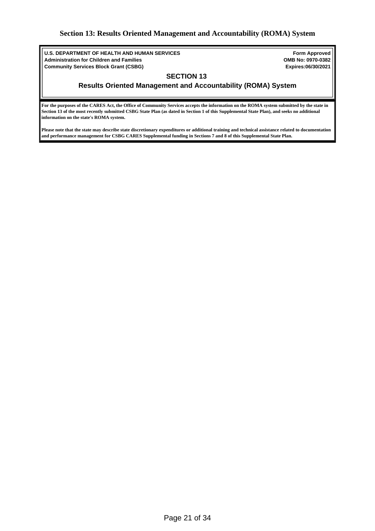#### <span id="page-20-0"></span>**Section 13: Results Oriented Management and Accountability (ROMA) System**

**U.S. DEPARTMENT OF HEALTH AND HUMAN SERVICES Administration for Children and Families Community Services Block Grant (CSBG)**

**Form Approved OMB No: 0970-0382 Expires:06/30/2021**

## **SECTION 13**

## **Results Oriented Management and Accountability (ROMA) System**

**For the purposes of the CARES Act, the Office of Community Services accepts the information on the ROMA system submitted by the state in Section 13 of the most recently submitted CSBG State Plan (as dated in Section 1 of this Supplemental State Plan), and seeks no additional information on the state's ROMA system.**

**Please note that the state may describe state discretionary expenditures or additional training and technical assistance related to documentation and performance management for CSBG CARES Supplemental funding in Sections 7 and 8 of this Supplemental State Plan.**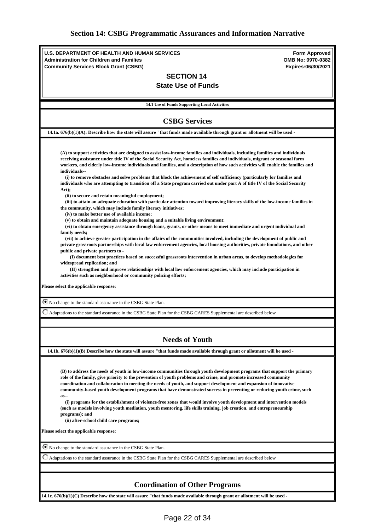## <span id="page-21-0"></span>**Section 14: CSBG Programmatic Assurances and Information Narrative**

| <b>U.S. DEPARTMENT OF HEALTH AND HUMAN SERVICES</b><br><b>Administration for Children and Families</b>                                                                                                                                                                                                                                                                                                                                                                                                                                                                                                                                                                                                                                                                                                                                                                                                                                                                                                                                                                                                                                                                                                                                                                                                                                                                                                                                                                                                                                                                                                                                                                                                                                                                                                                                                                     | <b>Form Approved</b><br>OMB No: 0970-0382 |  |  |  |
|----------------------------------------------------------------------------------------------------------------------------------------------------------------------------------------------------------------------------------------------------------------------------------------------------------------------------------------------------------------------------------------------------------------------------------------------------------------------------------------------------------------------------------------------------------------------------------------------------------------------------------------------------------------------------------------------------------------------------------------------------------------------------------------------------------------------------------------------------------------------------------------------------------------------------------------------------------------------------------------------------------------------------------------------------------------------------------------------------------------------------------------------------------------------------------------------------------------------------------------------------------------------------------------------------------------------------------------------------------------------------------------------------------------------------------------------------------------------------------------------------------------------------------------------------------------------------------------------------------------------------------------------------------------------------------------------------------------------------------------------------------------------------------------------------------------------------------------------------------------------------|-------------------------------------------|--|--|--|
| <b>Community Services Block Grant (CSBG)</b>                                                                                                                                                                                                                                                                                                                                                                                                                                                                                                                                                                                                                                                                                                                                                                                                                                                                                                                                                                                                                                                                                                                                                                                                                                                                                                                                                                                                                                                                                                                                                                                                                                                                                                                                                                                                                               | Expires:06/30/2021                        |  |  |  |
| <b>SECTION 14</b>                                                                                                                                                                                                                                                                                                                                                                                                                                                                                                                                                                                                                                                                                                                                                                                                                                                                                                                                                                                                                                                                                                                                                                                                                                                                                                                                                                                                                                                                                                                                                                                                                                                                                                                                                                                                                                                          |                                           |  |  |  |
| <b>State Use of Funds</b>                                                                                                                                                                                                                                                                                                                                                                                                                                                                                                                                                                                                                                                                                                                                                                                                                                                                                                                                                                                                                                                                                                                                                                                                                                                                                                                                                                                                                                                                                                                                                                                                                                                                                                                                                                                                                                                  |                                           |  |  |  |
|                                                                                                                                                                                                                                                                                                                                                                                                                                                                                                                                                                                                                                                                                                                                                                                                                                                                                                                                                                                                                                                                                                                                                                                                                                                                                                                                                                                                                                                                                                                                                                                                                                                                                                                                                                                                                                                                            |                                           |  |  |  |
| 14.1 Use of Funds Supporting Local Activities                                                                                                                                                                                                                                                                                                                                                                                                                                                                                                                                                                                                                                                                                                                                                                                                                                                                                                                                                                                                                                                                                                                                                                                                                                                                                                                                                                                                                                                                                                                                                                                                                                                                                                                                                                                                                              |                                           |  |  |  |
| <b>CSBG Services</b>                                                                                                                                                                                                                                                                                                                                                                                                                                                                                                                                                                                                                                                                                                                                                                                                                                                                                                                                                                                                                                                                                                                                                                                                                                                                                                                                                                                                                                                                                                                                                                                                                                                                                                                                                                                                                                                       |                                           |  |  |  |
| $14.1a. 676(b)(1)(A)$ : Describe how the state will assure "that funds made available through grant or allotment will be used -                                                                                                                                                                                                                                                                                                                                                                                                                                                                                                                                                                                                                                                                                                                                                                                                                                                                                                                                                                                                                                                                                                                                                                                                                                                                                                                                                                                                                                                                                                                                                                                                                                                                                                                                            |                                           |  |  |  |
| (A) to support activities that are designed to assist low-income families and individuals, including families and individuals<br>receiving assistance under title IV of the Social Security Act, homeless families and individuals, migrant or seasonal farm<br>workers, and elderly low-income individuals and families, and a description of how such activities will enable the families and<br>individuals--<br>(i) to remove obstacles and solve problems that block the achievement of self sufficiency (particularly for families and<br>individuals who are attempting to transition off a State program carried out under part A of title IV of the Social Security<br>Act);<br>(ii) to secure and retain meaningful employment;<br>(iii) to attain an adequate education with particular attention toward improving literacy skills of the low-income families in<br>the community, which may include family literacy initiatives;<br>(iv) to make better use of available income;<br>(v) to obtain and maintain adequate housing and a suitable living environment;<br>(vi) to obtain emergency assistance through loans, grants, or other means to meet immediate and urgent individual and<br>family needs;<br>(vii) to achieve greater participation in the affairs of the communities involved, including the development of public and<br>private grassroots partnerships with local law enforcement agencies, local housing authorities, private foundations, and other<br>public and private partners to -<br>(I) document best practices based on successful grassroots intervention in urban areas, to develop methodologies for<br>widespread replication; and<br>(II) strengthen and improve relationships with local law enforcement agencies, which may include participation in<br>activities such as neighborhood or community policing efforts; |                                           |  |  |  |
| Please select the applicable response:                                                                                                                                                                                                                                                                                                                                                                                                                                                                                                                                                                                                                                                                                                                                                                                                                                                                                                                                                                                                                                                                                                                                                                                                                                                                                                                                                                                                                                                                                                                                                                                                                                                                                                                                                                                                                                     |                                           |  |  |  |
| No change to the standard assurance in the CSBG State Plan.                                                                                                                                                                                                                                                                                                                                                                                                                                                                                                                                                                                                                                                                                                                                                                                                                                                                                                                                                                                                                                                                                                                                                                                                                                                                                                                                                                                                                                                                                                                                                                                                                                                                                                                                                                                                                |                                           |  |  |  |
| Adaptations to the standard assurance in the CSBG State Plan for the CSBG CARES Supplemental are described below                                                                                                                                                                                                                                                                                                                                                                                                                                                                                                                                                                                                                                                                                                                                                                                                                                                                                                                                                                                                                                                                                                                                                                                                                                                                                                                                                                                                                                                                                                                                                                                                                                                                                                                                                           |                                           |  |  |  |
|                                                                                                                                                                                                                                                                                                                                                                                                                                                                                                                                                                                                                                                                                                                                                                                                                                                                                                                                                                                                                                                                                                                                                                                                                                                                                                                                                                                                                                                                                                                                                                                                                                                                                                                                                                                                                                                                            |                                           |  |  |  |
| <b>Needs of Youth</b>                                                                                                                                                                                                                                                                                                                                                                                                                                                                                                                                                                                                                                                                                                                                                                                                                                                                                                                                                                                                                                                                                                                                                                                                                                                                                                                                                                                                                                                                                                                                                                                                                                                                                                                                                                                                                                                      |                                           |  |  |  |
| 14.1b. $676(b)(1)(B)$ Describe how the state will assure "that funds made available through grant or allotment will be used -                                                                                                                                                                                                                                                                                                                                                                                                                                                                                                                                                                                                                                                                                                                                                                                                                                                                                                                                                                                                                                                                                                                                                                                                                                                                                                                                                                                                                                                                                                                                                                                                                                                                                                                                              |                                           |  |  |  |
| (B) to address the needs of youth in low-income communities through youth development programs that support the primary<br>role of the family, give priority to the prevention of youth problems and crime, and promote increased community<br>coordination and collaboration in meeting the needs of youth, and support development and expansion of innovative<br>community-based youth development programs that have demonstrated success in preventing or reducing youth crime, such<br>$as-$<br>(i) programs for the establishment of violence-free zones that would involve youth development and intervention models<br>(such as models involving youth mediation, youth mentoring, life skills training, job creation, and entrepreneurship<br>programs); and<br>(ii) after-school child care programs;<br>Please select the applicable response:                                                                                                                                                                                                                                                                                                                                                                                                                                                                                                                                                                                                                                                                                                                                                                                                                                                                                                                                                                                                                 |                                           |  |  |  |
|                                                                                                                                                                                                                                                                                                                                                                                                                                                                                                                                                                                                                                                                                                                                                                                                                                                                                                                                                                                                                                                                                                                                                                                                                                                                                                                                                                                                                                                                                                                                                                                                                                                                                                                                                                                                                                                                            |                                           |  |  |  |
| No change to the standard assurance in the CSBG State Plan.                                                                                                                                                                                                                                                                                                                                                                                                                                                                                                                                                                                                                                                                                                                                                                                                                                                                                                                                                                                                                                                                                                                                                                                                                                                                                                                                                                                                                                                                                                                                                                                                                                                                                                                                                                                                                |                                           |  |  |  |
| Adaptations to the standard assurance in the CSBG State Plan for the CSBG CARES Supplemental are described below                                                                                                                                                                                                                                                                                                                                                                                                                                                                                                                                                                                                                                                                                                                                                                                                                                                                                                                                                                                                                                                                                                                                                                                                                                                                                                                                                                                                                                                                                                                                                                                                                                                                                                                                                           |                                           |  |  |  |
|                                                                                                                                                                                                                                                                                                                                                                                                                                                                                                                                                                                                                                                                                                                                                                                                                                                                                                                                                                                                                                                                                                                                                                                                                                                                                                                                                                                                                                                                                                                                                                                                                                                                                                                                                                                                                                                                            |                                           |  |  |  |
| <b>Coordination of Other Programs</b>                                                                                                                                                                                                                                                                                                                                                                                                                                                                                                                                                                                                                                                                                                                                                                                                                                                                                                                                                                                                                                                                                                                                                                                                                                                                                                                                                                                                                                                                                                                                                                                                                                                                                                                                                                                                                                      |                                           |  |  |  |
| 14.1c. 676(b)(1)(C) Describe how the state will assure "that funds made available through grant or allotment will be used -                                                                                                                                                                                                                                                                                                                                                                                                                                                                                                                                                                                                                                                                                                                                                                                                                                                                                                                                                                                                                                                                                                                                                                                                                                                                                                                                                                                                                                                                                                                                                                                                                                                                                                                                                |                                           |  |  |  |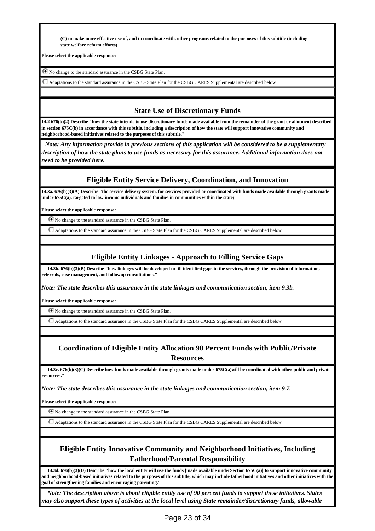**(C) to make more effective use of, and to coordinate with, other programs related to the purposes of this subtitle (including state welfare reform efforts)**

**Please select the applicable response:**

No change to the standard assurance in the CSBG State Plan.

Adaptations to the standard assurance in the CSBG State Plan for the CSBG CARES Supplemental are described below

## **State Use of Discretionary Funds**

**14.2 676(b)(2) Describe "how the state intends to use discretionary funds made available from the remainder of the grant or allotment described in section 675C(b) in accordance with this subtitle, including a description of how the state will support innovative community and neighborhood-based initiatives related to the purposes of this subtitle."**

 *Note: Any information provide in previous sections of this application will be considered to be a supplementary description of how the state plans to use funds as necessary for this assurance. Additional information does not need to be provided here.*

## **Eligible Entity Service Delivery, Coordination, and Innovation**

**14.3a. 676(b)(3)(A) Describe "the service delivery system, for services provided or coordinated with funds made available through grants made under 675C(a), targeted to low-income individuals and families in communities within the state;**

**Please select the applicable response:**

No change to the standard assurance in the CSBG State Plan.

Adaptations to the standard assurance in the CSBG State Plan for the CSBG CARES Supplemental are described below

## **Eligible Entity Linkages - Approach to Filling Service Gaps**

 **14.3b. 676(b)(3)(B) Describe "how linkages will be developed to fill identified gaps in the services, through the provision of information, referrals, case management, and followup consultations."**

*Note: The state describes this assurance in the state linkages and communication section, item 9.3b.*

**Please select the applicable response:**

No change to the standard assurance in the CSBG State Plan.

Adaptations to the standard assurance in the CSBG State Plan for the CSBG CARES Supplemental are described below

## **Coordination of Eligible Entity Allocation 90 Percent Funds with Public/Private Resources**

 **14.3c. 676(b)(3)(C) Describe how funds made available through grants made under 675C(a)will be coordinated with other public and private resources."**

*Note: The state describes this assurance in the state linkages and communication section, item 9.7.*

**Please select the applicable response:**

No change to the standard assurance in the CSBG State Plan.

Adaptations to the standard assurance in the CSBG State Plan for the CSBG CARES Supplemental are described below

## **Eligible Entity Innovative Community and Neighborhood Initiatives, Including Fatherhood/Parental Responsibility**

 **14.3d. 676(b)(3)(D) Describe "how the local entity will use the funds [made available underSection 675C(a)] to support innovative community and neighborhood-based initiatives related to the purposes of this subtitle, which may include fatherhood initiatives and other initiatives with the goal of strengthening families and encouraging parenting."**

 *Note: The description above is about eligible entity use of 90 percent funds to support these initiatives. States may also support these types of activities at the local level using State remainder/discretionary funds, allowable*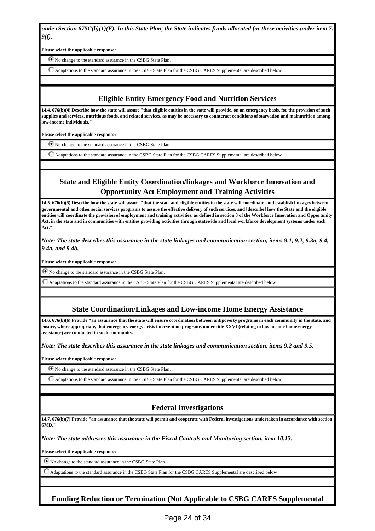*unde rSection 675C(b)(1)(F). In this State Plan, the State indicates funds allocated for these activities under item 7. 9(f).*

**Please select the applicable response:**

No change to the standard assurance in the CSBG State Plan.

Adaptations to the standard assurance in the CSBG State Plan for the CSBG CARES Supplemental are described below

## **Eligible Entity Emergency Food and Nutrition Services**

**14.4. 676(b)(4) Describe how the state will assure "that eligible entities in the state will provide, on an emergency basis, for the provision of such supplies and services, nutritious foods, and related services, as may be necessary to counteract conditions of starvation and malnutrition among low-income individuals."**

**Please select the applicable response:**

No change to the standard assurance in the CSBG State Plan.

Adaptations to the standard assurance in the CSBG State Plan for the CSBG CARES Supplemental are described below

## **State and Eligible Entity Coordination/linkages and Workforce Innovation and Opportunity Act Employment and Training Activities**

**14.5. 676(b)(5) Describe how the state will assure "that the state and eligible entities in the state will coordinate, and establish linkages between, governmental and other social services programs to assure the effective delivery of such services, and [describe] how the State and the eligible entities will coordinate the provision of employment and training activities, as defined in section 3 of the Workforce Innovation and Opportunity Act, in the state and in communities with entities providing activities through statewide and local workforce development systems under such Act."**

*Note: The state describes this assurance in the state linkages and communication section, items 9.1, 9.2, 9.3a, 9.4, 9.4a, and 9.4b.*

**Please select the applicable response:**

No change to the standard assurance in the CSBG State Plan.

Adaptations to the standard assurance in the CSBG State Plan for the CSBG CARES Supplemental are described below

## **State Coordination/Linkages and Low-income Home Energy Assistance**

**14.6. 676(b)(6) Provide "an assurance that the state will ensure coordination between antipoverty programs in each community in the state, and ensure, where appropriate, that emergency energy crisis intervention programs under title XXVI (relating to low income home energy assistance) are conducted in such community."**

*Note: The state describes this assurance in the state linkages and communication section, items 9.2 and 9.5.*

**Please select the applicable response:**

No change to the standard assurance in the CSBG State Plan.

Adaptations to the standard assurance in the CSBG State Plan for the CSBG CARES Supplemental are described below

#### **Federal Investigations**

**14.7. 676(b)(7) Provide "an assurance that the state will permit and cooperate with Federal investigations undertaken in accordance with section 678D."**

*Note: The state addresses this assurance in the Fiscal Controls and Monitoring section, item 10.13.*

**Please select the applicable response:**

No change to the standard assurance in the CSBG State Plan.

Adaptations to the standard assurance in the CSBG State Plan for the CSBG CARES Supplemental are described below

### **Funding Reduction or Termination (Not Applicable to CSBG CARES Supplemental**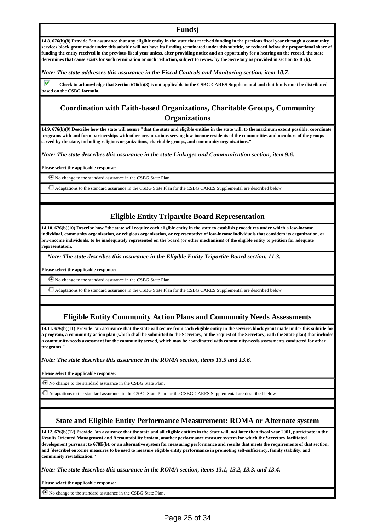#### **Funds)**

**14.8. 676(b)(8) Provide "an assurance that any eligible entity in the state that received funding in the previous fiscal year through a community services block grant made under this subtitle will not have its funding terminated under this subtitle, or reduced below the proportional share of funding the entity received in the previous fiscal year unless, after providing notice and an opportunity for a hearing on the record, the state determines that cause exists for such termination or such reduction, subject to review by the Secretary as provided in section 678C(b)."**

*Note: The state addresses this assurance in the Fiscal Controls and Monitoring section, item 10.7.*

M **Check to acknowledge that Section 676(b)(8) is not applicable to the CSBG CARES Supplemental and that funds must be distributed based on the CSBG formula.**

## **Coordination with Faith-based Organizations, Charitable Groups, Community Organizations**

**14.9. 676(b)(9) Describe how the state will assure "that the state and eligible entities in the state will, to the maximum extent possible, coordinate programs with and form partnerships with other organizations serving low-income residents of the communities and members of the groups served by the state, including religious organizations, charitable groups, and community organizations."**

*Note: The state describes this assurance in the state Linkages and Communication section, item 9.6.*

**Please select the applicable response:**

No change to the standard assurance in the CSBG State Plan.

Adaptations to the standard assurance in the CSBG State Plan for the CSBG CARES Supplemental are described below

## **Eligible Entity Tripartite Board Representation**

**14.10. 676(b)(10) Describe how "the state will require each eligible entity in the state to establish procedures under which a low-income individual, community organization, or religious organization, or representative of low-income individuals that considers its organization, or low-income individuals, to be inadequately represented on the board (or other mechanism) of the eligible entity to petition for adequate representation."**

*Note: The state describes this assurance in the Eligible Entity Tripartite Board section, 11.3.*

**Please select the applicable response:**

No change to the standard assurance in the CSBG State Plan.

Adaptations to the standard assurance in the CSBG State Plan for the CSBG CARES Supplemental are described below

### **Eligible Entity Community Action Plans and Community Needs Assessments**

**14.11. 676(b)(11) Provide "an assurance that the state will secure from each eligible entity in the services block grant made under this subtitle for a program, a community action plan (which shall be submitted to the Secretary, at the request of the Secretary, with the State plan) that includes a community-needs assessment for the community served, which may be coordinated with community-needs assessments conducted for other programs."**

*Note: The state describes this assurance in the ROMA section, items 13.5 and 13.6.*

**Please select the applicable response:**

No change to the standard assurance in the CSBG State Plan.

Adaptations to the standard assurance in the CSBG State Plan for the CSBG CARES Supplemental are described below

### **State and Eligible Entity Performance Measurement: ROMA or Alternate system**

**14.12. 676(b)(12) Provide "an assurance that the state and all eligible entities in the State will, not later than fiscal year 2001, participate in the Results Oriented Management and Accountability System, another performance measure system for which the Secretary facilitated development pursuant to 678E(b), or an alternative system for measuring performance and results that meets the requirements of that section, and [describe] outcome measures to be used to measure eligible entity performance in promoting self-sufficiency, family stability, and community revitalization."**

*Note: The state describes this assurance in the ROMA section, items 13.1, 13.2, 13.3, and 13.4.*

**Please select the applicable response:**

No change to the standard assurance in the CSBG State Plan.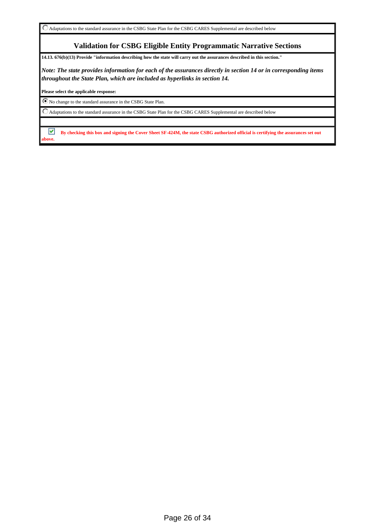Adaptations to the standard assurance in the CSBG State Plan for the CSBG CARES Supplemental are described below

### **Validation for CSBG Eligible Entity Programmatic Narrative Sections**

**14.13. 676(b)(13) Provide "information describing how the state will carry out the assurances described in this section."**

*Note: The state provides information for each of the assurances directly in section 14 or in corresponding items throughout the State Plan, which are included as hyperlinks in section 14.*

**Please select the applicable response:**

No change to the standard assurance in the CSBG State Plan.

Adaptations to the standard assurance in the CSBG State Plan for the CSBG CARES Supplemental are described below

**By checking this box and signing the Cover Sheet SF-424M, the state CSBG authorized official is certifying the assurances set out above.**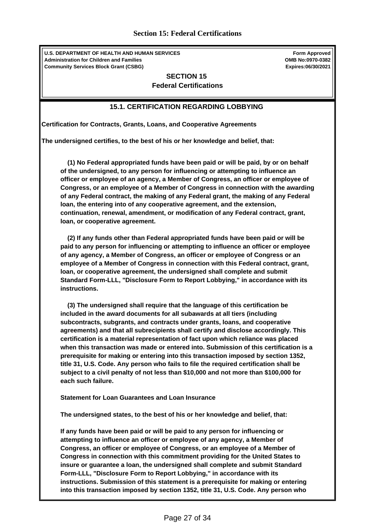**U.S. DEPARTMENT OF HEALTH AND HUMAN SERVICES Administration for Children and Families Community Services Block Grant (CSBG)**

**Form Approved OMB No:0970-0382 Expires:06/30/2021**

## <span id="page-26-0"></span>**SECTION 15 Federal Certifications**

## **15.1. CERTIFICATION REGARDING LOBBYING**

**Certification for Contracts, Grants, Loans, and Cooperative Agreements**

**The undersigned certifies, to the best of his or her knowledge and belief, that:**

 **(1) No Federal appropriated funds have been paid or will be paid, by or on behalf of the undersigned, to any person for influencing or attempting to influence an officer or employee of an agency, a Member of Congress, an officer or employee of Congress, or an employee of a Member of Congress in connection with the awarding of any Federal contract, the making of any Federal grant, the making of any Federal loan, the entering into of any cooperative agreement, and the extension, continuation, renewal, amendment, or modification of any Federal contract, grant, loan, or cooperative agreement.** 

 **(2) If any funds other than Federal appropriated funds have been paid or will be paid to any person for influencing or attempting to influence an officer or employee of any agency, a Member of Congress, an officer or employee of Congress or an employee of a Member of Congress in connection with this Federal contract, grant, loan, or cooperative agreement, the undersigned shall complete and submit Standard Form-LLL, "Disclosure Form to Report Lobbying," in accordance with its instructions.** 

 **(3) The undersigned shall require that the language of this certification be included in the award documents for all subawards at all tiers (including subcontracts, subgrants, and contracts under grants, loans, and cooperative agreements) and that all subrecipients shall certify and disclose accordingly. This certification is a material representation of fact upon which reliance was placed when this transaction was made or entered into. Submission of this certification is a prerequisite for making or entering into this transaction imposed by section 1352, title 31, U.S. Code. Any person who fails to file the required certification shall be subject to a civil penalty of not less than \$10,000 and not more than \$100,000 for each such failure.**

**Statement for Loan Guarantees and Loan Insurance**

**The undersigned states, to the best of his or her knowledge and belief, that:**

**If any funds have been paid or will be paid to any person for influencing or attempting to influence an officer or employee of any agency, a Member of Congress, an officer or employee of Congress, or an employee of a Member of Congress in connection with this commitment providing for the United States to insure or guarantee a loan, the undersigned shall complete and submit Standard Form-LLL, "Disclosure Form to Report Lobbying," in accordance with its instructions. Submission of this statement is a prerequisite for making or entering into this transaction imposed by section 1352, title 31, U.S. Code. Any person who**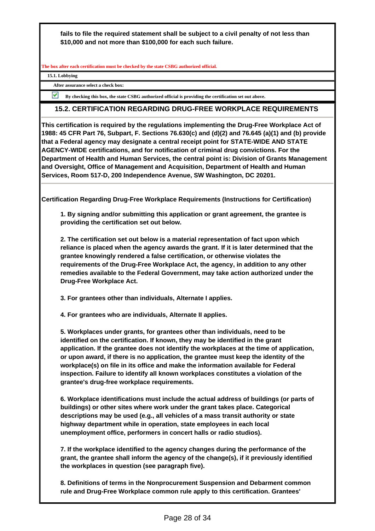**fails to file the required statement shall be subject to a civil penalty of not less than \$10,000 and not more than \$100,000 for each such failure.**

**The box after each certification must be checked by the state CSBG authorized official.**

**15.1. Lobbying** 

**After assurance select a check box:**

**By checking this box, the state CSBG authorized official is providing the certification set out above.**

#### **15.2. CERTIFICATION REGARDING DRUG-FREE WORKPLACE REQUIREMENTS**

**This certification is required by the regulations implementing the Drug-Free Workplace Act of 1988: 45 CFR Part 76, Subpart, F. Sections 76.630(c) and (d)(2) and 76.645 (a)(1) and (b) provide that a Federal agency may designate a central receipt point for STATE-WIDE AND STATE AGENCY-WIDE certifications, and for notification of criminal drug convictions. For the Department of Health and Human Services, the central point is: Division of Grants Management and Oversight, Office of Management and Acquisition, Department of Health and Human Services, Room 517-D, 200 Independence Avenue, SW Washington, DC 20201.**

**Certification Regarding Drug-Free Workplace Requirements (Instructions for Certification)**

**1. By signing and/or submitting this application or grant agreement, the grantee is providing the certification set out below.**

**2. The certification set out below is a material representation of fact upon which reliance is placed when the agency awards the grant. If it is later determined that the grantee knowingly rendered a false certification, or otherwise violates the requirements of the Drug-Free Workplace Act, the agency, in addition to any other remedies available to the Federal Government, may take action authorized under the Drug-Free Workplace Act.**

**3. For grantees other than individuals, Alternate I applies.**

**4. For grantees who are individuals, Alternate II applies.**

**5. Workplaces under grants, for grantees other than individuals, need to be identified on the certification. If known, they may be identified in the grant application. If the grantee does not identify the workplaces at the time of application, or upon award, if there is no application, the grantee must keep the identity of the workplace(s) on file in its office and make the information available for Federal inspection. Failure to identify all known workplaces constitutes a violation of the grantee's drug-free workplace requirements.**

**6. Workplace identifications must include the actual address of buildings (or parts of buildings) or other sites where work under the grant takes place. Categorical descriptions may be used (e.g., all vehicles of a mass transit authority or state highway department while in operation, state employees in each local unemployment office, performers in concert halls or radio studios).**

**7. If the workplace identified to the agency changes during the performance of the grant, the grantee shall inform the agency of the change(s), if it previously identified the workplaces in question (see paragraph five).**

**8. Definitions of terms in the Nonprocurement Suspension and Debarment common rule and Drug-Free Workplace common rule apply to this certification. Grantees'**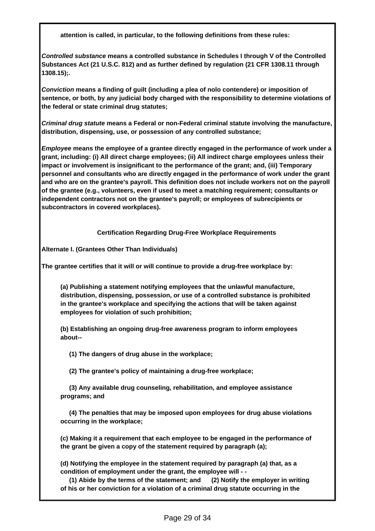**attention is called, in particular, to the following definitions from these rules:**

**Controlled substance means a controlled substance in Schedules I through V of the Controlled Substances Act (21 U.S.C. 812) and as further defined by regulation (21 CFR 1308.11 through 1308.15);.**

**Conviction means a finding of guilt (including a plea of nolo contendere) or imposition of sentence, or both, by any judicial body charged with the responsibility to determine violations of the federal or state criminal drug statutes;**

**Criminal drug statute means a Federal or non-Federal criminal statute involving the manufacture, distribution, dispensing, use, or possession of any controlled substance;**

**Employee means the employee of a grantee directly engaged in the performance of work under a grant, including: (i) All direct charge employees; (ii) All indirect charge employees unless their impact or involvement is insignificant to the performance of the grant; and, (iii) Temporary personnel and consultants who are directly engaged in the performance of work under the grant and who are on the grantee's payroll. This definition does not include workers not on the payroll of the grantee (e.g., volunteers, even if used to meet a matching requirement; consultants or independent contractors not on the grantee's payroll; or employees of subrecipients or subcontractors in covered workplaces).**

**Certification Regarding Drug-Free Workplace Requirements**

**Alternate I. (Grantees Other Than Individuals)** 

**The grantee certifies that it will or will continue to provide a drug-free workplace by:**

**(a) Publishing a statement notifying employees that the unlawful manufacture, distribution, dispensing, possession, or use of a controlled substance is prohibited in the grantee's workplace and specifying the actions that will be taken against employees for violation of such prohibition;**

**(b) Establishing an ongoing drug-free awareness program to inform employees about--**

 **(1) The dangers of drug abuse in the workplace;**

 **(2) The grantee's policy of maintaining a drug-free workplace;**

 **(3) Any available drug counseling, rehabilitation, and employee assistance programs; and**

 **(4) The penalties that may be imposed upon employees for drug abuse violations occurring in the workplace;**

**(c) Making it a requirement that each employee to be engaged in the performance of the grant be given a copy of the statement required by paragraph (a);**

**(d) Notifying the employee in the statement required by paragraph (a) that, as a condition of employment under the grant, the employee will - -**

 **(1) Abide by the terms of the statement; and (2) Notify the employer in writing of his or her conviction for a violation of a criminal drug statute occurring in the**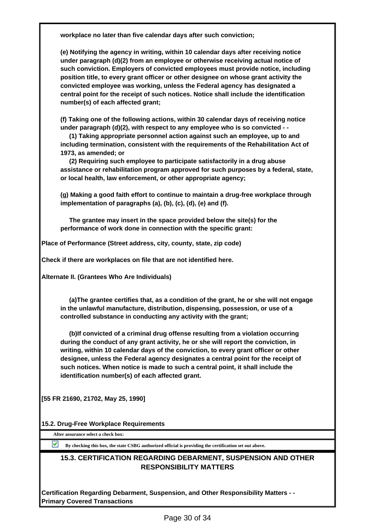**workplace no later than five calendar days after such conviction;**

**(e) Notifying the agency in writing, within 10 calendar days after receiving notice under paragraph (d)(2) from an employee or otherwise receiving actual notice of such conviction. Employers of convicted employees must provide notice, including position title, to every grant officer or other designee on whose grant activity the convicted employee was working, unless the Federal agency has designated a central point for the receipt of such notices. Notice shall include the identification number(s) of each affected grant;**

**(f) Taking one of the following actions, within 30 calendar days of receiving notice under paragraph (d)(2), with respect to any employee who is so convicted - -**

 **(1) Taking appropriate personnel action against such an employee, up to and including termination, consistent with the requirements of the Rehabilitation Act of 1973, as amended; or**

 **(2) Requiring such employee to participate satisfactorily in a drug abuse assistance or rehabilitation program approved for such purposes by a federal, state, or local health, law enforcement, or other appropriate agency;**

**(g) Making a good faith effort to continue to maintain a drug-free workplace through implementation of paragraphs (a), (b), (c), (d), (e) and (f).**

 **The grantee may insert in the space provided below the site(s) for the performance of work done in connection with the specific grant:**

**Place of Performance (Street address, city, county, state, zip code)**

**Check if there are workplaces on file that are not identified here.**

**Alternate II. (Grantees Who Are Individuals)**

 **(a)The grantee certifies that, as a condition of the grant, he or she will not engage in the unlawful manufacture, distribution, dispensing, possession, or use of a controlled substance in conducting any activity with the grant;**

 **(b)If convicted of a criminal drug offense resulting from a violation occurring during the conduct of any grant activity, he or she will report the conviction, in writing, within 10 calendar days of the conviction, to every grant officer or other designee, unless the Federal agency designates a central point for the receipt of such notices. When notice is made to such a central point, it shall include the identification number(s) of each affected grant.**

**[55 FR 21690, 21702, May 25, 1990]**

### **15.2. Drug-Free Workplace Requirements**

**After assurance select a check box:**

**By checking this box, the state CSBG authorized official is providing the certification set out above.**

## **15.3. CERTIFICATION REGARDING DEBARMENT, SUSPENSION AND OTHER RESPONSIBILITY MATTERS**

**Certification Regarding Debarment, Suspension, and Other Responsibility Matters - - Primary Covered Transactions**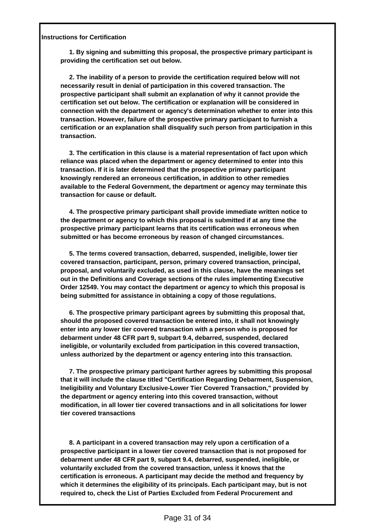**Instructions for Certification**

 **1. By signing and submitting this proposal, the prospective primary participant is providing the certification set out below.**

 **2. The inability of a person to provide the certification required below will not necessarily result in denial of participation in this covered transaction. The prospective participant shall submit an explanation of why it cannot provide the certification set out below. The certification or explanation will be considered in connection with the department or agency's determination whether to enter into this transaction. However, failure of the prospective primary participant to furnish a certification or an explanation shall disqualify such person from participation in this transaction.**

 **3. The certification in this clause is a material representation of fact upon which reliance was placed when the department or agency determined to enter into this transaction. If it is later determined that the prospective primary participant knowingly rendered an erroneous certification, in addition to other remedies available to the Federal Government, the department or agency may terminate this transaction for cause or default.**

 **4. The prospective primary participant shall provide immediate written notice to the department or agency to which this proposal is submitted if at any time the prospective primary participant learns that its certification was erroneous when submitted or has become erroneous by reason of changed circumstances.**

 **5. The terms covered transaction, debarred, suspended, ineligible, lower tier covered transaction, participant, person, primary covered transaction, principal, proposal, and voluntarily excluded, as used in this clause, have the meanings set out in the Definitions and Coverage sections of the rules implementing Executive Order 12549. You may contact the department or agency to which this proposal is being submitted for assistance in obtaining a copy of those regulations.**

 **6. The prospective primary participant agrees by submitting this proposal that, should the proposed covered transaction be entered into, it shall not knowingly enter into any lower tier covered transaction with a person who is proposed for debarment under 48 CFR part 9, subpart 9.4, debarred, suspended, declared ineligible, or voluntarily excluded from participation in this covered transaction, unless authorized by the department or agency entering into this transaction.**

 **7. The prospective primary participant further agrees by submitting this proposal that it will include the clause titled "Certification Regarding Debarment, Suspension, Ineligibility and Voluntary Exclusive-Lower Tier Covered Transaction," provided by the department or agency entering into this covered transaction, without modification, in all lower tier covered transactions and in all solicitations for lower tier covered transactions**

 **8. A participant in a covered transaction may rely upon a certification of a prospective participant in a lower tier covered transaction that is not proposed for debarment under 48 CFR part 9, subpart 9.4, debarred, suspended, ineligible, or voluntarily excluded from the covered transaction, unless it knows that the certification is erroneous. A participant may decide the method and frequency by which it determines the eligibility of its principals. Each participant may, but is not required to, check the List of Parties Excluded from Federal Procurement and**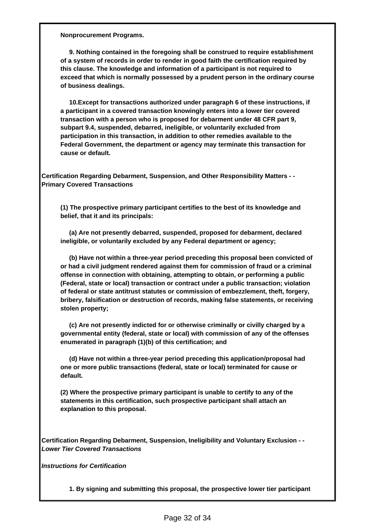**Nonprocurement Programs.**

 **9. Nothing contained in the foregoing shall be construed to require establishment of a system of records in order to render in good faith the certification required by this clause. The knowledge and information of a participant is not required to exceed that which is normally possessed by a prudent person in the ordinary course of business dealings.**

 **10.Except for transactions authorized under paragraph 6 of these instructions, if a participant in a covered transaction knowingly enters into a lower tier covered transaction with a person who is proposed for debarment under 48 CFR part 9, subpart 9.4, suspended, debarred, ineligible, or voluntarily excluded from participation in this transaction, in addition to other remedies available to the Federal Government, the department or agency may terminate this transaction for cause or default.**

**Certification Regarding Debarment, Suspension, and Other Responsibility Matters - - Primary Covered Transactions** 

**(1) The prospective primary participant certifies to the best of its knowledge and belief, that it and its principals:**

 **(a) Are not presently debarred, suspended, proposed for debarment, declared ineligible, or voluntarily excluded by any Federal department or agency;**

 **(b) Have not within a three-year period preceding this proposal been convicted of or had a civil judgment rendered against them for commission of fraud or a criminal offense in connection with obtaining, attempting to obtain, or performing a public (Federal, state or local) transaction or contract under a public transaction; violation of federal or state antitrust statutes or commission of embezzlement, theft, forgery, bribery, falsification or destruction of records, making false statements, or receiving stolen property;**

 **(c) Are not presently indicted for or otherwise criminally or civilly charged by a governmental entity (federal, state or local) with commission of any of the offenses enumerated in paragraph (1)(b) of this certification; and**

 **(d) Have not within a three-year period preceding this application/proposal had one or more public transactions (federal, state or local) terminated for cause or default.**

**(2) Where the prospective primary participant is unable to certify to any of the statements in this certification, such prospective participant shall attach an explanation to this proposal.**

**Certification Regarding Debarment, Suspension, Ineligibility and Voluntary Exclusion - - Lower Tier Covered Transactions**

**Instructions for Certification**

 **1. By signing and submitting this proposal, the prospective lower tier participant**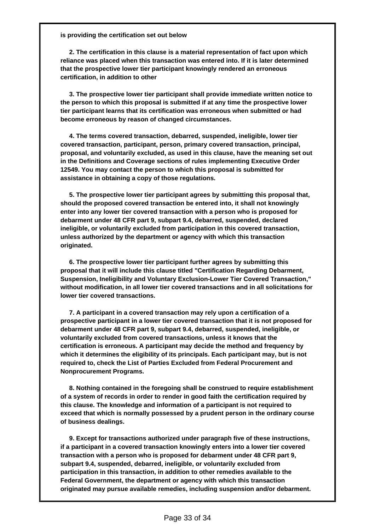**is providing the certification set out below**

 **2. The certification in this clause is a material representation of fact upon which reliance was placed when this transaction was entered into. If it is later determined that the prospective lower tier participant knowingly rendered an erroneous certification, in addition to other**

 **3. The prospective lower tier participant shall provide immediate written notice to the person to which this proposal is submitted if at any time the prospective lower tier participant learns that its certification was erroneous when submitted or had become erroneous by reason of changed circumstances.** 

 **4. The terms covered transaction, debarred, suspended, ineligible, lower tier covered transaction, participant, person, primary covered transaction, principal, proposal, and voluntarily excluded, as used in this clause, have the meaning set out in the Definitions and Coverage sections of rules implementing Executive Order 12549. You may contact the person to which this proposal is submitted for assistance in obtaining a copy of those regulations.**

 **5. The prospective lower tier participant agrees by submitting this proposal that, should the proposed covered transaction be entered into, it shall not knowingly enter into any lower tier covered transaction with a person who is proposed for debarment under 48 CFR part 9, subpart 9.4, debarred, suspended, declared ineligible, or voluntarily excluded from participation in this covered transaction, unless authorized by the department or agency with which this transaction originated.**

 **6. The prospective lower tier participant further agrees by submitting this proposal that it will include this clause titled "Certification Regarding Debarment, Suspension, Ineligibility and Voluntary Exclusion-Lower Tier Covered Transaction," without modification, in all lower tier covered transactions and in all solicitations for lower tier covered transactions.**

 **7. A participant in a covered transaction may rely upon a certification of a prospective participant in a lower tier covered transaction that it is not proposed for debarment under 48 CFR part 9, subpart 9.4, debarred, suspended, ineligible, or voluntarily excluded from covered transactions, unless it knows that the certification is erroneous. A participant may decide the method and frequency by which it determines the eligibility of its principals. Each participant may, but is not required to, check the List of Parties Excluded from Federal Procurement and Nonprocurement Programs.**

 **8. Nothing contained in the foregoing shall be construed to require establishment of a system of records in order to render in good faith the certification required by this clause. The knowledge and information of a participant is not required to exceed that which is normally possessed by a prudent person in the ordinary course of business dealings.** 

 **9. Except for transactions authorized under paragraph five of these instructions, if a participant in a covered transaction knowingly enters into a lower tier covered transaction with a person who is proposed for debarment under 48 CFR part 9, subpart 9.4, suspended, debarred, ineligible, or voluntarily excluded from participation in this transaction, in addition to other remedies available to the Federal Government, the department or agency with which this transaction originated may pursue available remedies, including suspension and/or debarment.**